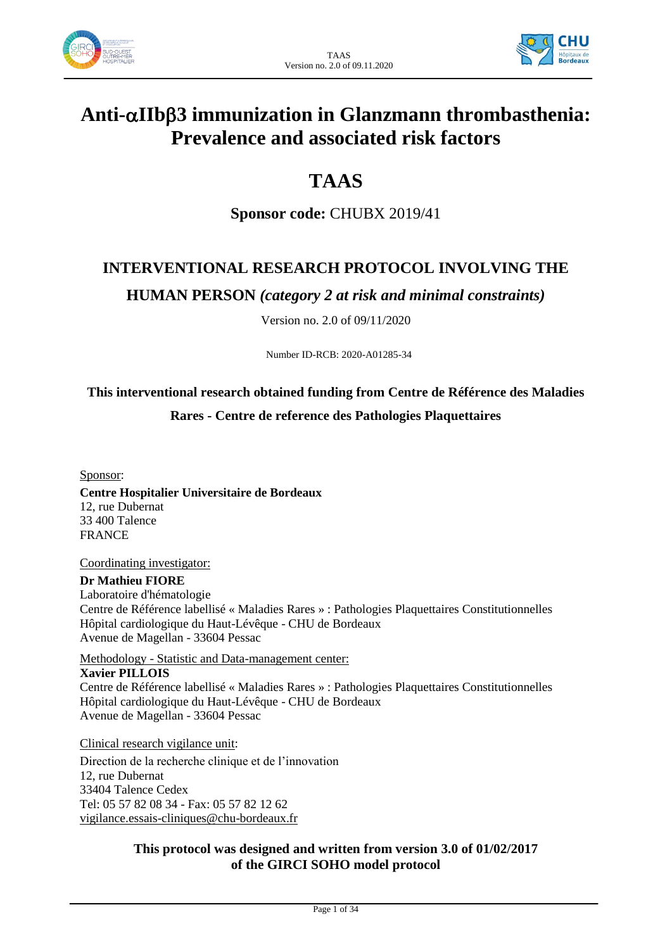



# **Anti-IIb3 immunization in Glanzmann thrombasthenia: Prevalence and associated risk factors**

# **TAAS**

**Sponsor code:** CHUBX 2019/41

## **INTERVENTIONAL RESEARCH PROTOCOL INVOLVING THE**

**HUMAN PERSON** *(category 2 at risk and minimal constraints)*

Version no. 2.0 of 09/11/2020

Number ID-RCB: 2020-A01285-34

## **This interventional research obtained funding from Centre de Référence des Maladies Rares - Centre de reference des Pathologies Plaquettaires**

Sponsor:

**Centre Hospitalier Universitaire de Bordeaux** 12, rue Dubernat 33 400 Talence FRANCE

Coordinating investigator:

**Dr Mathieu FIORE** Laboratoire d'hématologie Centre de Référence labellisé « Maladies Rares » : Pathologies Plaquettaires Constitutionnelles Hôpital cardiologique du Haut-Lévêque - CHU de Bordeaux Avenue de Magellan - 33604 Pessac

Methodology - Statistic and Data-management center:

**Xavier PILLOIS** Centre de Référence labellisé « Maladies Rares » : Pathologies Plaquettaires Constitutionnelles Hôpital cardiologique du Haut-Lévêque - CHU de Bordeaux Avenue de Magellan - 33604 Pessac

Clinical research vigilance unit: Direction de la recherche clinique et de l'innovation 12, rue Dubernat 33404 Talence Cedex Tel: 05 57 82 08 34 - Fax: 05 57 82 12 62 [vigilance.essais-cliniques@chu-bordeaux.fr](mailto:vigilance.essais-cliniques@chu-bordeaux.fr)

### **This protocol was designed and written from version 3.0 of 01/02/2017 of the GIRCI SOHO model protocol**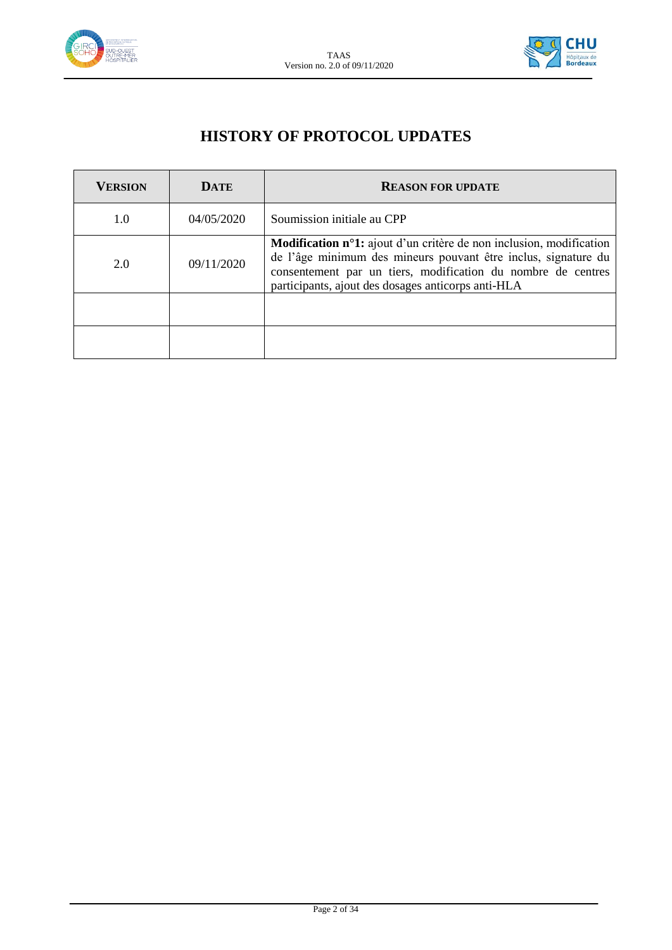



## **HISTORY OF PROTOCOL UPDATES**

| <b>VERSION</b> | <b>DATE</b> | <b>REASON FOR UPDATE</b>                                                                                                                                                                                                                                           |  |  |
|----------------|-------------|--------------------------------------------------------------------------------------------------------------------------------------------------------------------------------------------------------------------------------------------------------------------|--|--|
| 1.0            | 04/05/2020  | Soumission initiale au CPP                                                                                                                                                                                                                                         |  |  |
| 2.0            | 09/11/2020  | <b>Modification n°1:</b> ajout d'un critère de non inclusion, modification<br>de l'âge minimum des mineurs pouvant être inclus, signature du<br>consentement par un tiers, modification du nombre de centres<br>participants, ajout des dosages anticorps anti-HLA |  |  |
|                |             |                                                                                                                                                                                                                                                                    |  |  |
|                |             |                                                                                                                                                                                                                                                                    |  |  |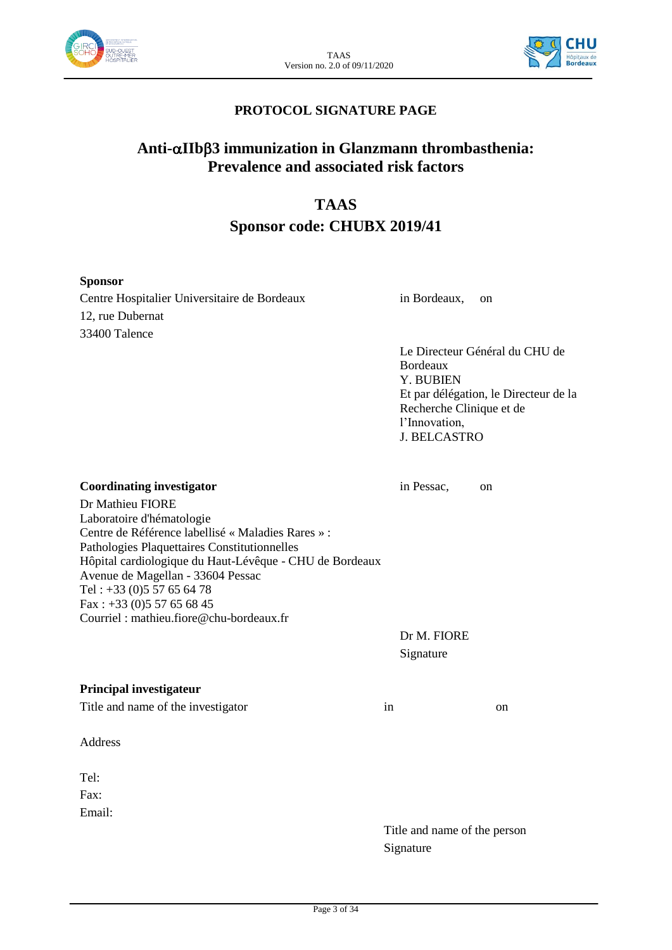



### **PROTOCOL SIGNATURE PAGE**

## **Anti-IIb3 immunization in Glanzmann thrombasthenia: Prevalence and associated risk factors**

## **TAAS**

## **Sponsor code: CHUBX 2019/41**

#### **Sponsor**

Centre Hospitalier Universitaire de Bordeaux in Bordeaux, on 12, rue Dubernat 33400 Talence

Le Directeur Général du CHU de Bordeaux Y. BUBIEN Et par délégation, le Directeur de la Recherche Clinique et de l'Innovation, J. BELCASTRO

**Coordinating investigator** in Pessac, on Dr Mathieu FIORE Laboratoire d'hématologie Centre de Référence labellisé « Maladies Rares » : Pathologies Plaquettaires Constitutionnelles Hôpital cardiologique du Haut-Lévêque - CHU de Bordeaux Avenue de Magellan - 33604 Pessac Tel : +33 (0)5 57 65 64 78 Fax : +33 (0)5 57 65 68 45 Courriel : mathieu.fiore@chu-bordeaux.fr

> Dr M. FIORE Signature

#### **Principal investigateur**

Title and name of the investigator in on

Address

 $Tel$ Fax: Email:

Title and name of the person Signature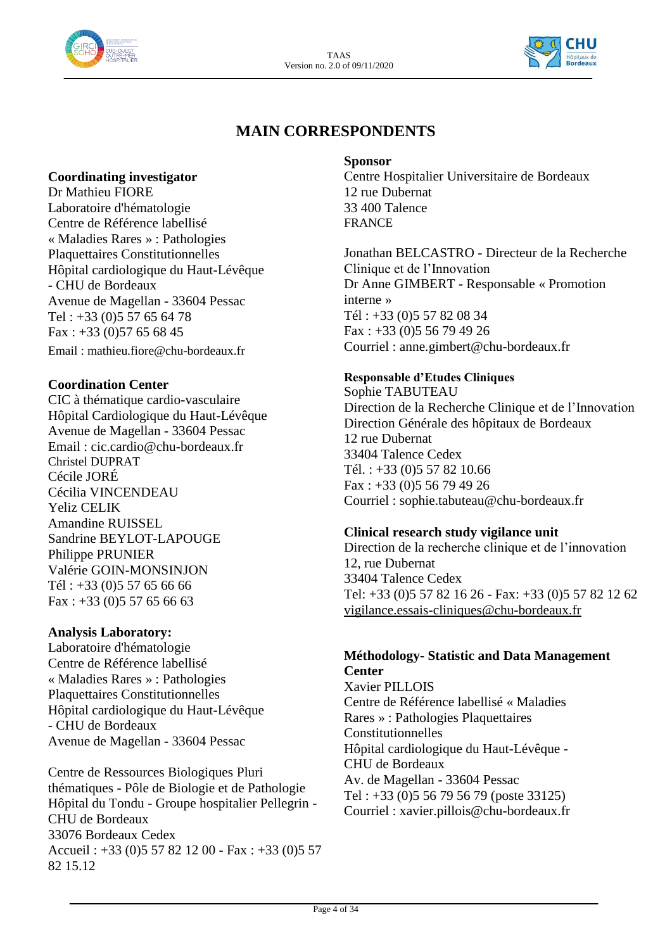



## **MAIN CORRESPONDENTS**

### **Coordinating investigator**

Dr Mathieu FIORE Laboratoire d'hématologie Centre de Référence labellisé « Maladies Rares » : Pathologies Plaquettaires Constitutionnelles Hôpital cardiologique du Haut-Lévêque - CHU de Bordeaux Avenue de Magellan - 33604 Pessac Tel : +33 (0)5 57 65 64 78 Fax:  $+33$  (0)57 65 68 45 Email : mathieu.fiore@chu-bordeaux.fr

#### **Coordination Center**

CIC à thématique cardio-vasculaire Hôpital Cardiologique du Haut-Lévêque Avenue de Magellan - 33604 Pessac Email : cic.cardio@chu-bordeaux.fr Christel DUPRAT Cécile JORÉ Cécilia VINCENDEAU Yeliz CELIK Amandine RUISSEL Sandrine BEYLOT-LAPOUGE Philippe PRUNIER Valérie GOIN-MONSINJON Tél : +33 (0)5 57 65 66 66 Fax:  $+33$  (0)5 57 65 66 63

#### **Analysis Laboratory:**

Laboratoire d'hématologie Centre de Référence labellisé « Maladies Rares » : Pathologies Plaquettaires Constitutionnelles Hôpital cardiologique du Haut-Lévêque - CHU de Bordeaux Avenue de Magellan - 33604 Pessac

Centre de Ressources Biologiques Pluri thématiques - Pôle de Biologie et de Pathologie Hôpital du Tondu - Groupe hospitalier Pellegrin - CHU de Bordeaux 33076 Bordeaux Cedex Accueil : +33 (0)5 57 82 12 00 - Fax : +33 (0)5 57 82 15.12

#### **Sponsor**

Centre Hospitalier Universitaire de Bordeaux 12 rue Dubernat 33 400 Talence FRANCE

Jonathan BELCASTRO - Directeur de la Recherche Clinique et de l'Innovation Dr Anne GIMBERT - Responsable « Promotion interne » Tél : +33 (0)5 57 82 08 34 Fax : +33 (0)5 56 79 49 26 Courriel : anne.gimbert@chu-bordeaux.fr

### **Responsable d'Etudes Cliniques**

Sophie TABUTEAU Direction de la Recherche Clinique et de l'Innovation Direction Générale des hôpitaux de Bordeaux 12 rue Dubernat 33404 Talence Cedex Tél. : +33 (0)5 57 82 10.66 Fax : +33 (0)5 56 79 49 26 Courriel : sophie.tabuteau@chu-bordeaux.fr

#### **Clinical research study vigilance unit**

Direction de la recherche clinique et de l'innovation 12, rue Dubernat 33404 Talence Cedex Tel: +33 (0)5 57 82 16 26 - Fax: +33 (0)5 57 82 12 62 [vigilance.essais-cliniques@chu-bordeaux.fr](mailto:vigilance.essais-cliniques@chu-bordeaux.fr)

#### **Méthodology- Statistic and Data Management Center**

Xavier PILLOIS Centre de Référence labellisé « Maladies Rares » : Pathologies Plaquettaires Constitutionnelles Hôpital cardiologique du Haut-Lévêque - CHU de Bordeaux Av. de Magellan - 33604 Pessac Tel : +33 (0)5 56 79 56 79 (poste 33125) Courriel : xavier.pillois@chu-bordeaux.fr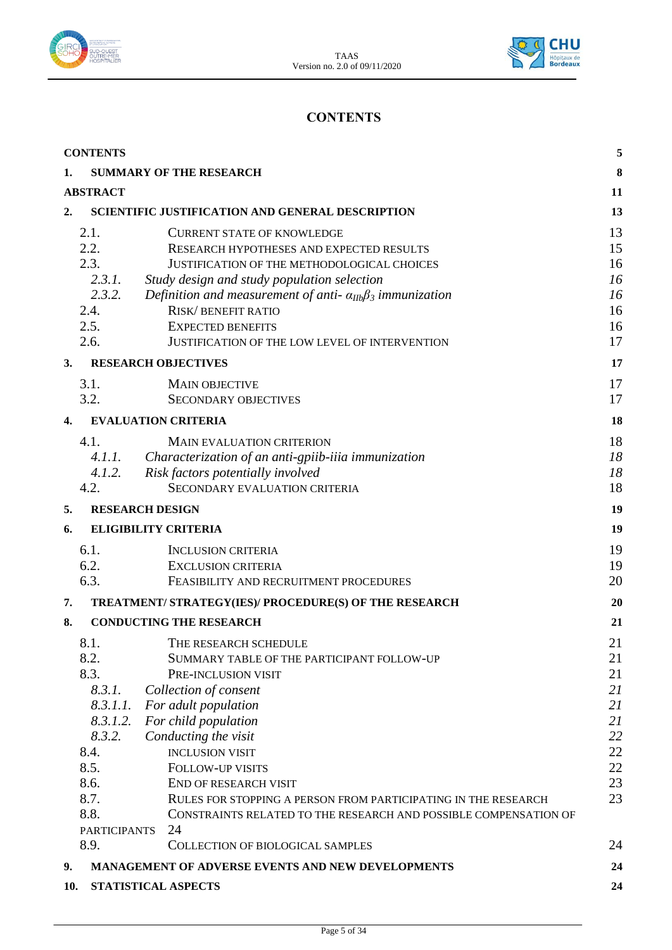



## **CONTENTS**

| <b>CONTENTS</b> |                                                                                                                                 |                                                                                                                                                                                                                                                                                                                                                                                                                                                           |                                                                      |  |  |  |
|-----------------|---------------------------------------------------------------------------------------------------------------------------------|-----------------------------------------------------------------------------------------------------------------------------------------------------------------------------------------------------------------------------------------------------------------------------------------------------------------------------------------------------------------------------------------------------------------------------------------------------------|----------------------------------------------------------------------|--|--|--|
| 1.              | <b>SUMMARY OF THE RESEARCH</b>                                                                                                  |                                                                                                                                                                                                                                                                                                                                                                                                                                                           |                                                                      |  |  |  |
|                 | <b>ABSTRACT</b>                                                                                                                 |                                                                                                                                                                                                                                                                                                                                                                                                                                                           |                                                                      |  |  |  |
| 2.              | SCIENTIFIC JUSTIFICATION AND GENERAL DESCRIPTION                                                                                |                                                                                                                                                                                                                                                                                                                                                                                                                                                           |                                                                      |  |  |  |
|                 | 2.1.<br>2.2.                                                                                                                    | <b>CURRENT STATE OF KNOWLEDGE</b><br>RESEARCH HYPOTHESES AND EXPECTED RESULTS                                                                                                                                                                                                                                                                                                                                                                             | 13<br>15                                                             |  |  |  |
|                 | 2.3.<br>2.3.1.<br>2.3.2.                                                                                                        | JUSTIFICATION OF THE METHODOLOGICAL CHOICES<br>Study design and study population selection<br>Definition and measurement of anti- $\alpha_{IIb}\beta_3$ immunization                                                                                                                                                                                                                                                                                      | 16<br>16<br>16                                                       |  |  |  |
|                 | 2.4.<br>2.5.<br>2.6.                                                                                                            | <b>RISK/BENEFIT RATIO</b><br><b>EXPECTED BENEFITS</b><br>JUSTIFICATION OF THE LOW LEVEL OF INTERVENTION                                                                                                                                                                                                                                                                                                                                                   | 16<br>16<br>17                                                       |  |  |  |
| 3.              |                                                                                                                                 | <b>RESEARCH OBJECTIVES</b>                                                                                                                                                                                                                                                                                                                                                                                                                                | 17                                                                   |  |  |  |
|                 | 3.1.<br>3.2.                                                                                                                    | <b>MAIN OBJECTIVE</b><br><b>SECONDARY OBJECTIVES</b>                                                                                                                                                                                                                                                                                                                                                                                                      | 17<br>17                                                             |  |  |  |
| 4.              |                                                                                                                                 | <b>EVALUATION CRITERIA</b>                                                                                                                                                                                                                                                                                                                                                                                                                                | 18                                                                   |  |  |  |
|                 | 4.1.<br>4.2.                                                                                                                    | <b>MAIN EVALUATION CRITERION</b><br>4.1.1. Characterization of an anti-gpiib-iiia immunization<br>4.1.2. Risk factors potentially involved<br>SECONDARY EVALUATION CRITERIA                                                                                                                                                                                                                                                                               | 18<br>18<br>18<br>18                                                 |  |  |  |
| 5.              |                                                                                                                                 | <b>RESEARCH DESIGN</b>                                                                                                                                                                                                                                                                                                                                                                                                                                    | 19                                                                   |  |  |  |
| 6.              |                                                                                                                                 | <b>ELIGIBILITY CRITERIA</b>                                                                                                                                                                                                                                                                                                                                                                                                                               | 19                                                                   |  |  |  |
|                 | 6.1.<br>6.2.<br>6.3.                                                                                                            | <b>INCLUSION CRITERIA</b><br><b>EXCLUSION CRITERIA</b><br>FEASIBILITY AND RECRUITMENT PROCEDURES                                                                                                                                                                                                                                                                                                                                                          | 19<br>19<br>20                                                       |  |  |  |
| 7.              |                                                                                                                                 | TREATMENT/ STRATEGY(IES)/ PROCEDURE(S) OF THE RESEARCH                                                                                                                                                                                                                                                                                                                                                                                                    | 20                                                                   |  |  |  |
| 8.              |                                                                                                                                 | <b>CONDUCTING THE RESEARCH</b>                                                                                                                                                                                                                                                                                                                                                                                                                            | 21                                                                   |  |  |  |
|                 | 8.1.<br>8.2.<br>8.3.<br>8.3.1.<br>8.3.1.1.<br>8.3.1.2.<br>8.3.2.<br>8.4.<br>8.5.<br>8.6.<br>8.7.<br>8.8.<br><b>PARTICIPANTS</b> | THE RESEARCH SCHEDULE<br>SUMMARY TABLE OF THE PARTICIPANT FOLLOW-UP<br>PRE-INCLUSION VISIT<br>Collection of consent<br>For adult population<br>For child population<br>Conducting the visit<br><b>INCLUSION VISIT</b><br><b>FOLLOW-UP VISITS</b><br>END OF RESEARCH VISIT<br>RULES FOR STOPPING A PERSON FROM PARTICIPATING IN THE RESEARCH<br>CONSTRAINTS RELATED TO THE RESEARCH AND POSSIBLE COMPENSATION OF<br>24<br>COLLECTION OF BIOLOGICAL SAMPLES | 21<br>21<br>21<br>21<br>21<br>21<br>22<br>22<br>22<br>23<br>23<br>24 |  |  |  |
| 9.              | 8.9.<br><b>MANAGEMENT OF ADVERSE EVENTS AND NEW DEVELOPMENTS</b><br>24                                                          |                                                                                                                                                                                                                                                                                                                                                                                                                                                           |                                                                      |  |  |  |
| 10.             | STATISTICAL ASPECTS<br>24                                                                                                       |                                                                                                                                                                                                                                                                                                                                                                                                                                                           |                                                                      |  |  |  |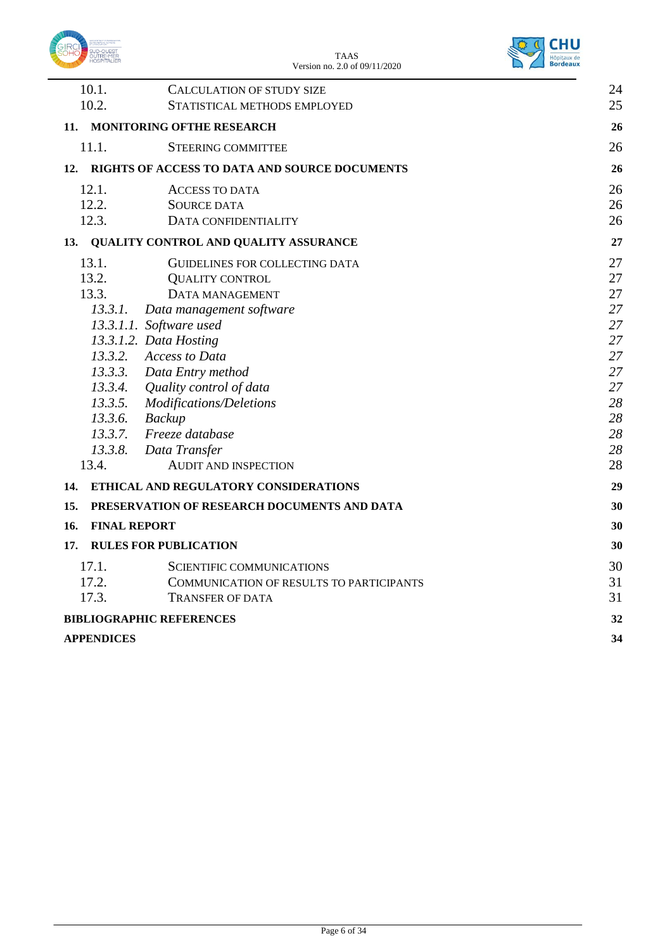



|     | 10.1.<br>10.2.      | <b>CALCULATION OF STUDY SIZE</b>              | 24<br>25 |
|-----|---------------------|-----------------------------------------------|----------|
|     |                     | STATISTICAL METHODS EMPLOYED                  |          |
| 11. |                     | <b>MONITORING OFTHE RESEARCH</b>              | 26       |
|     | 11.1.               | <b>STEERING COMMITTEE</b>                     | 26       |
| 12. |                     | RIGHTS OF ACCESS TO DATA AND SOURCE DOCUMENTS | 26       |
|     | 12.1.               | <b>ACCESS TO DATA</b>                         | 26       |
|     | 12.2.               | <b>SOURCE DATA</b>                            | 26       |
|     | 12.3.               | DATA CONFIDENTIALITY                          | 26       |
|     |                     | 13. QUALITY CONTROL AND QUALITY ASSURANCE     | 27       |
|     | 13.1.               | GUIDELINES FOR COLLECTING DATA                | 27       |
|     | 13.2.               | <b>QUALITY CONTROL</b>                        | 27       |
|     | 13.3.               | DATA MANAGEMENT                               | 27       |
|     | 13.3.1.             | Data management software                      | 27       |
|     |                     | 13.3.1.1. Software used                       | 27       |
|     |                     | 13.3.1.2. Data Hosting                        | 27       |
|     |                     | 13.3.2. Access to Data                        | 27       |
|     |                     | 13.3.3. Data Entry method                     | 27       |
|     |                     | 13.3.4. Quality control of data               | 27       |
|     |                     | 13.3.5. Modifications/Deletions               | 28       |
|     | 13.3.6. Backup      |                                               | 28       |
|     |                     | 13.3.7. Freeze database                       | 28       |
|     |                     | 13.3.8. Data Transfer                         | 28       |
|     | 13.4.               | AUDIT AND INSPECTION                          | 28       |
| 14. |                     | ETHICAL AND REGULATORY CONSIDERATIONS         | 29       |
| 15. |                     | PRESERVATION OF RESEARCH DOCUMENTS AND DATA   | 30       |
| 16. | <b>FINAL REPORT</b> |                                               | 30       |
| 17. |                     | <b>RULES FOR PUBLICATION</b>                  | 30       |
|     | 17.1.               | <b>SCIENTIFIC COMMUNICATIONS</b>              | 30       |
|     | 17.2.               | COMMUNICATION OF RESULTS TO PARTICIPANTS      | 31       |
|     | 17.3.               | <b>TRANSFER OF DATA</b>                       | 31       |
|     |                     | <b>BIBLIOGRAPHIC REFERENCES</b>               | 32       |
|     | <b>APPENDICES</b>   |                                               | 34       |
|     |                     |                                               |          |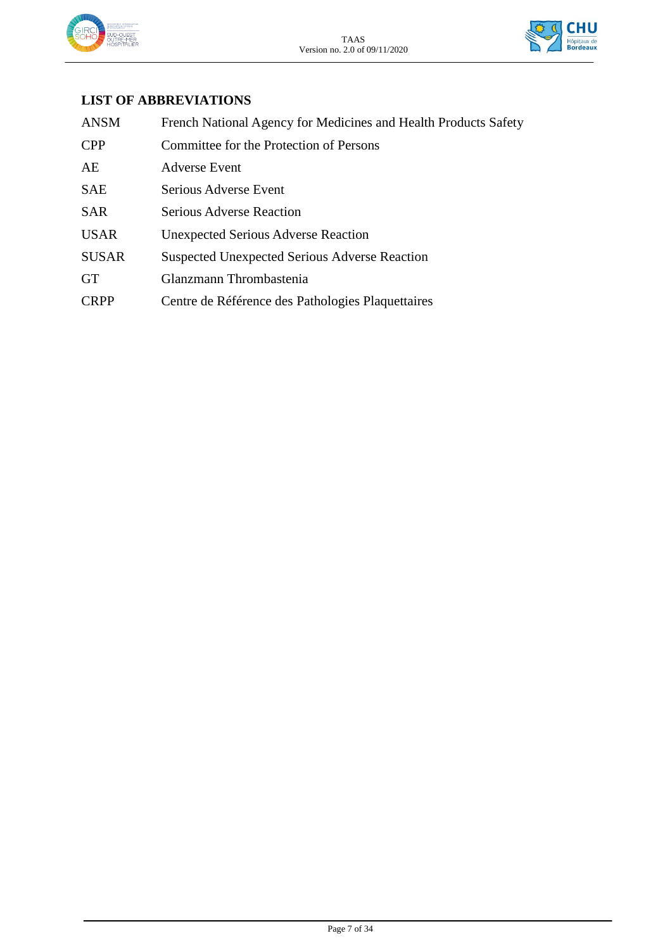



## **LIST OF ABBREVIATIONS**

| <b>ANSM</b>  | French National Agency for Medicines and Health Products Safety |
|--------------|-----------------------------------------------------------------|
| <b>CPP</b>   | Committee for the Protection of Persons                         |
| AE           | <b>Adverse Event</b>                                            |
| <b>SAE</b>   | Serious Adverse Event                                           |
| <b>SAR</b>   | <b>Serious Adverse Reaction</b>                                 |
| <b>USAR</b>  | <b>Unexpected Serious Adverse Reaction</b>                      |
| <b>SUSAR</b> | <b>Suspected Unexpected Serious Adverse Reaction</b>            |
| <b>GT</b>    | Glanzmann Thrombastenia                                         |
| <b>CRPP</b>  | Centre de Référence des Pathologies Plaquettaires               |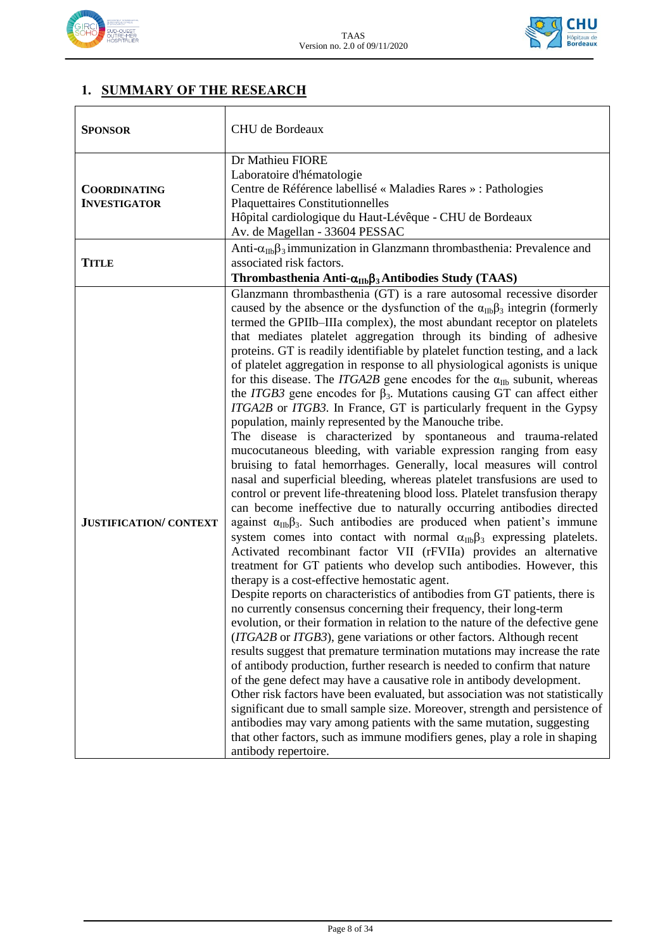



## **1. SUMMARY OF THE RESEARCH**

| <b>SPONSOR</b>                             | CHU de Bordeaux                                                                                                                                                                                                                                                                                                                                                                                                                                                                                                                                                                                                                                                                                                                                                                                                                                                                                                                                                                                                                                                                                                                                                                                                                                                                                                                                                                                                                                                                                                                                                                                                                                                                                                                                                                                                                                                                                                                                                                                                                                                                                                                                                                                                                                                                                                                                                                                                                                                                                                                                              |  |  |  |  |
|--------------------------------------------|--------------------------------------------------------------------------------------------------------------------------------------------------------------------------------------------------------------------------------------------------------------------------------------------------------------------------------------------------------------------------------------------------------------------------------------------------------------------------------------------------------------------------------------------------------------------------------------------------------------------------------------------------------------------------------------------------------------------------------------------------------------------------------------------------------------------------------------------------------------------------------------------------------------------------------------------------------------------------------------------------------------------------------------------------------------------------------------------------------------------------------------------------------------------------------------------------------------------------------------------------------------------------------------------------------------------------------------------------------------------------------------------------------------------------------------------------------------------------------------------------------------------------------------------------------------------------------------------------------------------------------------------------------------------------------------------------------------------------------------------------------------------------------------------------------------------------------------------------------------------------------------------------------------------------------------------------------------------------------------------------------------------------------------------------------------------------------------------------------------------------------------------------------------------------------------------------------------------------------------------------------------------------------------------------------------------------------------------------------------------------------------------------------------------------------------------------------------------------------------------------------------------------------------------------------------|--|--|--|--|
| <b>COORDINATING</b><br><b>INVESTIGATOR</b> | Dr Mathieu FIORE<br>Laboratoire d'hématologie<br>Centre de Référence labellisé « Maladies Rares » : Pathologies<br><b>Plaquettaires Constitutionnelles</b><br>Hôpital cardiologique du Haut-Lévêque - CHU de Bordeaux<br>Av. de Magellan - 33604 PESSAC                                                                                                                                                                                                                                                                                                                                                                                                                                                                                                                                                                                                                                                                                                                                                                                                                                                                                                                                                                                                                                                                                                                                                                                                                                                                                                                                                                                                                                                                                                                                                                                                                                                                                                                                                                                                                                                                                                                                                                                                                                                                                                                                                                                                                                                                                                      |  |  |  |  |
| <b>TITLE</b>                               | Anti- $\alpha_{\text{IIb}}\beta_3$ immunization in Glanzmann thrombasthenia: Prevalence and<br>associated risk factors.<br>Thrombasthenia Anti- $\alpha_{\text{IIb}}\beta_3$ Antibodies Study (TAAS)                                                                                                                                                                                                                                                                                                                                                                                                                                                                                                                                                                                                                                                                                                                                                                                                                                                                                                                                                                                                                                                                                                                                                                                                                                                                                                                                                                                                                                                                                                                                                                                                                                                                                                                                                                                                                                                                                                                                                                                                                                                                                                                                                                                                                                                                                                                                                         |  |  |  |  |
| <b>JUSTIFICATION/ CONTEXT</b>              | Glanzmann thrombasthenia (GT) is a rare autosomal recessive disorder<br>caused by the absence or the dysfunction of the $\alpha_{\text{IIb}}\beta_3$ integrin (formerly<br>termed the GPIIb-IIIa complex), the most abundant receptor on platelets<br>that mediates platelet aggregation through its binding of adhesive<br>proteins. GT is readily identifiable by platelet function testing, and a lack<br>of platelet aggregation in response to all physiological agonists is unique<br>for this disease. The <i>ITGA2B</i> gene encodes for the $\alpha_{\text{IIb}}$ subunit, whereas<br>the ITGB3 gene encodes for $\beta_3$ . Mutations causing GT can affect either<br>ITGA2B or ITGB3. In France, GT is particularly frequent in the Gypsy<br>population, mainly represented by the Manouche tribe.<br>The disease is characterized by spontaneous and trauma-related<br>mucocutaneous bleeding, with variable expression ranging from easy<br>bruising to fatal hemorrhages. Generally, local measures will control<br>nasal and superficial bleeding, whereas platelet transfusions are used to<br>control or prevent life-threatening blood loss. Platelet transfusion therapy<br>can become ineffective due to naturally occurring antibodies directed<br>against $\alpha_{\text{IIb}}\beta_3$ . Such antibodies are produced when patient's immune<br>system comes into contact with normal $\alpha_{\text{IIb}}\beta_3$ expressing platelets.<br>Activated recombinant factor VII (rFVIIa) provides an alternative<br>treatment for GT patients who develop such antibodies. However, this<br>therapy is a cost-effective hemostatic agent.<br>Despite reports on characteristics of antibodies from GT patients, there is<br>no currently consensus concerning their frequency, their long-term<br>evolution, or their formation in relation to the nature of the defective gene<br>(ITGA2B or ITGB3), gene variations or other factors. Although recent<br>results suggest that premature termination mutations may increase the rate<br>of antibody production, further research is needed to confirm that nature<br>of the gene defect may have a causative role in antibody development.<br>Other risk factors have been evaluated, but association was not statistically<br>significant due to small sample size. Moreover, strength and persistence of<br>antibodies may vary among patients with the same mutation, suggesting<br>that other factors, such as immune modifiers genes, play a role in shaping<br>antibody repertoire. |  |  |  |  |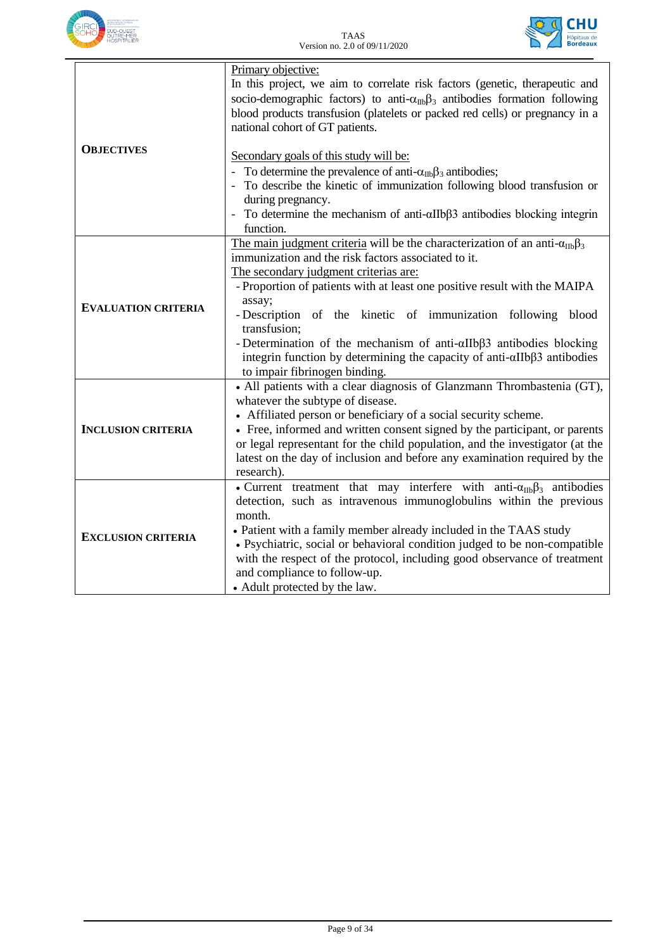



|                            | Primary objective:<br>In this project, we aim to correlate risk factors (genetic, therapeutic and<br>socio-demographic factors) to anti- $\alpha_{\text{IIb}}\beta_3$ antibodies formation following<br>blood products transfusion (platelets or packed red cells) or pregnancy in a<br>national cohort of GT patients.                                                                                 |
|----------------------------|---------------------------------------------------------------------------------------------------------------------------------------------------------------------------------------------------------------------------------------------------------------------------------------------------------------------------------------------------------------------------------------------------------|
| <b>OBJECTIVES</b>          | Secondary goals of this study will be:                                                                                                                                                                                                                                                                                                                                                                  |
|                            | To determine the prevalence of anti- $\alpha_{\text{IIb}}\beta_3$ antibodies;<br>To describe the kinetic of immunization following blood transfusion or<br>during pregnancy.                                                                                                                                                                                                                            |
|                            | To determine the mechanism of anti- $\alpha$ IIb $\beta$ 3 antibodies blocking integrin<br>$\overline{\phantom{a}}$<br>function.                                                                                                                                                                                                                                                                        |
|                            | The main judgment criteria will be the characterization of an anti- $\alpha_{\text{IIb}}\beta_3$<br>immunization and the risk factors associated to it.                                                                                                                                                                                                                                                 |
|                            | The secondary judgment criterias are:<br>- Proportion of patients with at least one positive result with the MAIPA                                                                                                                                                                                                                                                                                      |
| <b>EVALUATION CRITERIA</b> | assay;<br>- Description of the kinetic of immunization following blood<br>transfusion;                                                                                                                                                                                                                                                                                                                  |
|                            | - Determination of the mechanism of anti- $\alpha$ IIb $\beta$ 3 antibodies blocking<br>integrin function by determining the capacity of anti- $\alpha$ IIb $\beta$ 3 antibodies<br>to impair fibrinogen binding.                                                                                                                                                                                       |
|                            | • All patients with a clear diagnosis of Glanzmann Thrombastenia (GT),<br>whatever the subtype of disease.                                                                                                                                                                                                                                                                                              |
| <b>INCLUSION CRITERIA</b>  | • Affiliated person or beneficiary of a social security scheme.<br>• Free, informed and written consent signed by the participant, or parents<br>or legal representant for the child population, and the investigator (at the<br>latest on the day of inclusion and before any examination required by the<br>research).                                                                                |
| <b>EXCLUSION CRITERIA</b>  | • Current treatment that may interfere with anti- $\alpha_{\text{IIb}}\beta_3$ antibodies<br>detection, such as intravenous immunoglobulins within the previous<br>month.<br>• Patient with a family member already included in the TAAS study<br>· Psychiatric, social or behavioral condition judged to be non-compatible<br>with the respect of the protocol, including good observance of treatment |
|                            | and compliance to follow-up.<br>• Adult protected by the law.                                                                                                                                                                                                                                                                                                                                           |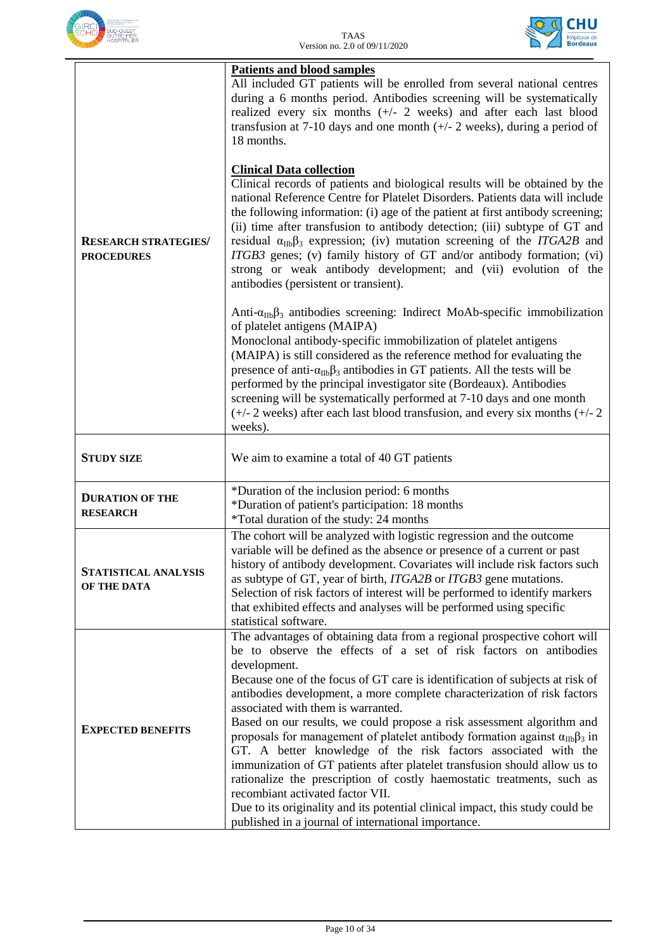



| <b>RESEARCH STRATEGIES/</b><br><b>PROCEDURES</b> | <b>Patients and blood samples</b><br>All included GT patients will be enrolled from several national centres<br>during a 6 months period. Antibodies screening will be systematically<br>realized every six months (+/- 2 weeks) and after each last blood<br>transfusion at 7-10 days and one month $(+/- 2$ weeks), during a period of<br>18 months.<br><b>Clinical Data collection</b><br>Clinical records of patients and biological results will be obtained by the<br>national Reference Centre for Platelet Disorders. Patients data will include<br>the following information: (i) age of the patient at first antibody screening;<br>(ii) time after transfusion to antibody detection; (iii) subtype of GT and<br>residual $\alpha_{\text{IIb}}\beta_3$ expression; (iv) mutation screening of the <i>ITGA2B</i> and<br>ITGB3 genes; (v) family history of GT and/or antibody formation; (vi)<br>strong or weak antibody development; and (vii) evolution of the<br>antibodies (persistent or transient).<br>Anti- $\alpha_{IIb}\beta_3$ antibodies screening: Indirect MoAb-specific immobilization<br>of platelet antigens (MAIPA)<br>Monoclonal antibody-specific immobilization of platelet antigens<br>(MAIPA) is still considered as the reference method for evaluating the<br>presence of anti- $\alpha_{\text{IIb}}\beta_3$ antibodies in GT patients. All the tests will be<br>performed by the principal investigator site (Bordeaux). Antibodies<br>screening will be systematically performed at 7-10 days and one month<br>$(+/- 2$ weeks) after each last blood transfusion, and every six months $(+/- 2)$<br>weeks). |  |  |  |  |
|--------------------------------------------------|-------------------------------------------------------------------------------------------------------------------------------------------------------------------------------------------------------------------------------------------------------------------------------------------------------------------------------------------------------------------------------------------------------------------------------------------------------------------------------------------------------------------------------------------------------------------------------------------------------------------------------------------------------------------------------------------------------------------------------------------------------------------------------------------------------------------------------------------------------------------------------------------------------------------------------------------------------------------------------------------------------------------------------------------------------------------------------------------------------------------------------------------------------------------------------------------------------------------------------------------------------------------------------------------------------------------------------------------------------------------------------------------------------------------------------------------------------------------------------------------------------------------------------------------------------------------------------------------------------------------------------------------------|--|--|--|--|
| <b>STUDY SIZE</b>                                | We aim to examine a total of 40 GT patients                                                                                                                                                                                                                                                                                                                                                                                                                                                                                                                                                                                                                                                                                                                                                                                                                                                                                                                                                                                                                                                                                                                                                                                                                                                                                                                                                                                                                                                                                                                                                                                                     |  |  |  |  |
| <b>DURATION OF THE</b><br><b>RESEARCH</b>        | *Duration of the inclusion period: 6 months<br>*Duration of patient's participation: 18 months<br>*Total duration of the study: 24 months                                                                                                                                                                                                                                                                                                                                                                                                                                                                                                                                                                                                                                                                                                                                                                                                                                                                                                                                                                                                                                                                                                                                                                                                                                                                                                                                                                                                                                                                                                       |  |  |  |  |
| STATISTICAL ANALYSIS<br>OF THE DATA              | The cohort will be analyzed with logistic regression and the outcome<br>variable will be defined as the absence or presence of a current or past<br>history of antibody development. Covariates will include risk factors such<br>as subtype of GT, year of birth, ITGA2B or ITGB3 gene mutations.<br>Selection of risk factors of interest will be performed to identify markers<br>that exhibited effects and analyses will be performed using specific<br>statistical software.                                                                                                                                                                                                                                                                                                                                                                                                                                                                                                                                                                                                                                                                                                                                                                                                                                                                                                                                                                                                                                                                                                                                                              |  |  |  |  |
| <b>EXPECTED BENEFITS</b>                         | The advantages of obtaining data from a regional prospective cohort will<br>be to observe the effects of a set of risk factors on antibodies<br>development.<br>Because one of the focus of GT care is identification of subjects at risk of<br>antibodies development, a more complete characterization of risk factors<br>associated with them is warranted.<br>Based on our results, we could propose a risk assessment algorithm and<br>proposals for management of platelet antibody formation against $\alpha_{\text{IIb}}\beta_3$ in<br>GT. A better knowledge of the risk factors associated with the<br>immunization of GT patients after platelet transfusion should allow us to<br>rationalize the prescription of costly haemostatic treatments, such as<br>recombiant activated factor VII.<br>Due to its originality and its potential clinical impact, this study could be<br>published in a journal of international importance.                                                                                                                                                                                                                                                                                                                                                                                                                                                                                                                                                                                                                                                                                                |  |  |  |  |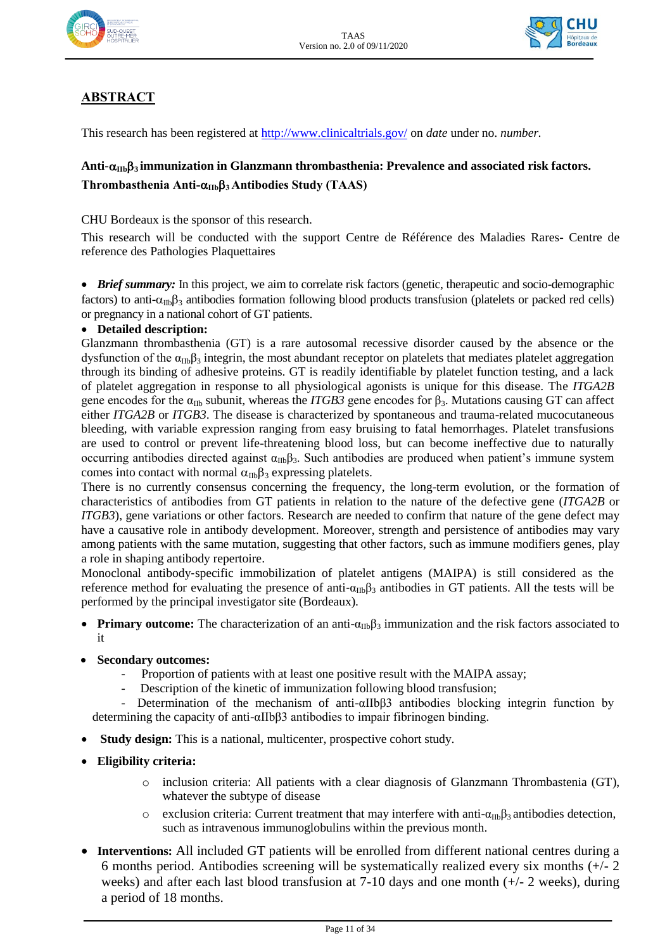



## **ABSTRACT**

This research has been registered at<http://www.clinicaltrials.gov/> on *date* under no. *number.*

## Anti- $\alpha$ <sub>IIb</sub>β<sub>3</sub> **immunization in Glanzmann thrombasthenia: Prevalence and associated risk factors. Thrombasthenia Anti-IIb3 Antibodies Study (TAAS)**

CHU Bordeaux is the sponsor of this research.

This research will be conducted with the support Centre de Référence des Maladies Rares- Centre de reference des Pathologies Plaquettaires

• *Brief summary:* In this project, we aim to correlate risk factors (genetic, therapeutic and socio-demographic factors) to anti- $\alpha_{\text{lib}}\beta_3$  antibodies formation following blood products transfusion (platelets or packed red cells) or pregnancy in a national cohort of GT patients.

#### **Detailed description:**

Glanzmann thrombasthenia (GT) is a rare autosomal recessive disorder caused by the absence or the dysfunction of the  $\alpha_{\text{IIb}}\beta_3$  integrin, the most abundant receptor on platelets that mediates platelet aggregation through its binding of adhesive proteins. GT is readily identifiable by platelet function testing, and a lack of platelet aggregation in response to all physiological agonists is unique for this disease. The *ITGA2B* gene encodes for the  $\alpha_{\text{IIb}}$  subunit, whereas the *ITGB3* gene encodes for  $\beta_3$ . Mutations causing GT can affect either *ITGA2B* or *ITGB3*. The disease is characterized by spontaneous and trauma-related mucocutaneous bleeding, with variable expression ranging from easy bruising to fatal hemorrhages. Platelet transfusions are used to control or prevent life-threatening blood loss, but can become ineffective due to naturally occurring antibodies directed against  $\alpha_{\text{IIb}}\beta_3$ . Such antibodies are produced when patient's immune system comes into contact with normal  $\alpha_{IB}\beta_3$  expressing platelets.

There is no currently consensus concerning the frequency, the long-term evolution, or the formation of characteristics of antibodies from GT patients in relation to the nature of the defective gene (*ITGA2B* or *ITGB3*), gene variations or other factors. Research are needed to confirm that nature of the gene defect may have a causative role in antibody development. Moreover, strength and persistence of antibodies may vary among patients with the same mutation, suggesting that other factors, such as immune modifiers genes, play a role in shaping antibody repertoire.

Monoclonal antibody‐specific immobilization of platelet antigens (MAIPA) is still considered as the reference method for evaluating the presence of anti- $\alpha_{\text{IIb}}\beta_3$  antibodies in GT patients. All the tests will be performed by the principal investigator site (Bordeaux).

- **Primary outcome:** The characterization of an anti- $\alpha_{\text{IIb}}\beta_3$  immunization and the risk factors associated to it
- **Secondary outcomes:** 
	- Proportion of patients with at least one positive result with the MAIPA assay;
	- Description of the kinetic of immunization following blood transfusion;

Determination of the mechanism of anti- $\alpha$ IIbβ3 antibodies blocking integrin function by determining the capacity of anti-αIIbβ3 antibodies to impair fibrinogen binding.

- **Study design:** This is a national, multicenter, prospective cohort study.
- **Eligibility criteria:** 
	- o inclusion criteria: All patients with a clear diagnosis of Glanzmann Thrombastenia (GT), whatever the subtype of disease
	- o exclusion criteria: Current treatment that may interfere with anti- $\alpha_{IIb}\beta_3$  antibodies detection, such as intravenous immunoglobulins within the previous month.
- **Interventions:** All included GT patients will be enrolled from different national centres during a 6 months period. Antibodies screening will be systematically realized every six months  $(+/- 2)$ weeks) and after each last blood transfusion at 7-10 days and one month (+/- 2 weeks), during a period of 18 months.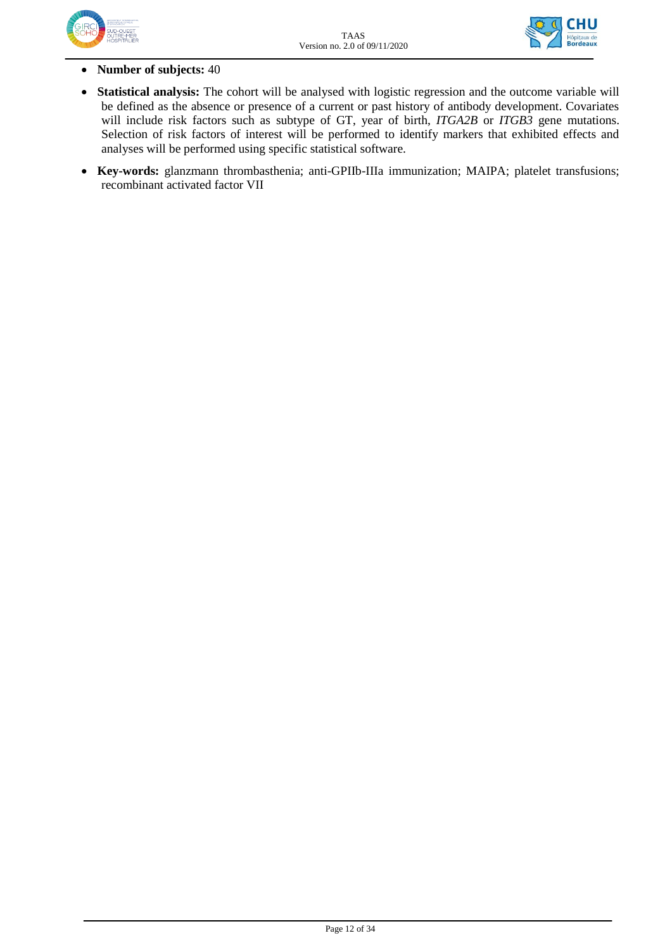



- **Number of subjects:** 40
- **Statistical analysis:** The cohort will be analysed with logistic regression and the outcome variable will be defined as the absence or presence of a current or past history of antibody development. Covariates will include risk factors such as subtype of GT, year of birth, *ITGA2B* or *ITGB3* gene mutations. Selection of risk factors of interest will be performed to identify markers that exhibited effects and analyses will be performed using specific statistical software.
- **Key-words:** glanzmann thrombasthenia; anti-GPIIb-IIIa immunization; MAIPA; platelet transfusions; recombinant activated factor VII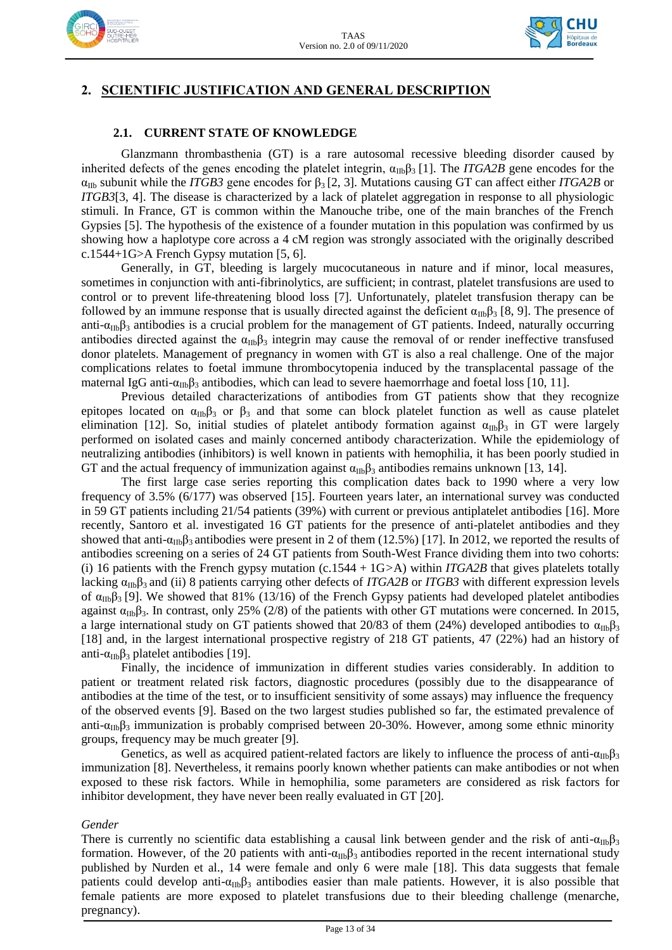



## **2. SCIENTIFIC JUSTIFICATION AND GENERAL DESCRIPTION**

#### **2.1. CURRENT STATE OF KNOWLEDGE**

Glanzmann thrombasthenia (GT) is a rare autosomal recessive bleeding disorder caused by inherited defects of the genes encoding the platelet integrin,  $\alpha_{\text{IIb}}\beta_3$  [1]. The *ITGA2B* gene encodes for the  $\alpha_{\text{IIb}}$  subunit while the *ITGB3* gene encodes for  $\beta_3$  [2, 3]. Mutations causing GT can affect either *ITGA2B* or *ITGB3*[3, 4]. The disease is characterized by a lack of platelet aggregation in response to all physiologic stimuli. In France, GT is common within the Manouche tribe, one of the main branches of the French Gypsies [5]. The hypothesis of the existence of a founder mutation in this population was confirmed by us showing how a haplotype core across a 4 cM region was strongly associated with the originally described c.1544+1G>A French Gypsy mutation [5, 6].

Generally, in GT, bleeding is largely mucocutaneous in nature and if minor, local measures, sometimes in conjunction with anti-fibrinolytics, are sufficient; in contrast, platelet transfusions are used to control or to prevent life-threatening blood loss [7]. Unfortunately, platelet transfusion therapy can be followed by an immune response that is usually directed against the deficient  $\alpha_{\text{IIb}}\beta_3$  [8, 9]. The presence of anti-α<sub>IIb</sub>β<sub>3</sub> antibodies is a crucial problem for the management of GT patients. Indeed, naturally occurring antibodies directed against the  $\alpha_{IIb}\beta_3$  integrin may cause the removal of or render ineffective transfused donor platelets. Management of pregnancy in women with GT is also a real challenge. One of the major complications relates to foetal immune thrombocytopenia induced by the transplacental passage of the maternal IgG anti- $\alpha_{IIb}\beta_3$  antibodies, which can lead to severe haemorrhage and foetal loss [10, 11].

Previous detailed characterizations of antibodies from GT patients show that they recognize epitopes located on  $\alpha_{\text{IIb}}\beta_3$  or  $\beta_3$  and that some can block platelet function as well as cause platelet elimination [12]. So, initial studies of platelet antibody formation against  $\alpha_{\text{ID}}\beta_3$  in GT were largely performed on isolated cases and mainly concerned antibody characterization. While the epidemiology of neutralizing antibodies (inhibitors) is well known in patients with hemophilia, it has been poorly studied in GT and the actual frequency of immunization against  $\alpha_{IIb}\beta_3$  antibodies remains unknown [13, 14].

The first large case series reporting this complication dates back to 1990 where a very low frequency of 3.5% (6/177) was observed [15]. Fourteen years later, an international survey was conducted in 59 GT patients including 21/54 patients (39%) with current or previous antiplatelet antibodies [16]. More recently, Santoro et al. investigated 16 GT patients for the presence of anti-platelet antibodies and they showed that anti- $\alpha_{IIb}\beta_3$  antibodies were present in 2 of them (12.5%) [17]. In 2012, we reported the results of antibodies screening on a series of 24 GT patients from South-West France dividing them into two cohorts: (i) 16 patients with the French gypsy mutation (c.1544 + 1G*>*A) within *ITGA2B* that gives platelets totally lacking  $\alpha_{\text{IIb}}\beta_3$  and (ii) 8 patients carrying other defects of *ITGA2B* or *ITGB3* with different expression levels of  $\alpha_{\text{IIb}}\beta_3$  [9]. We showed that 81% (13/16) of the French Gypsy patients had developed platelet antibodies against  $\alpha_{IIb}\beta_3$ . In contrast, only 25% (2/8) of the patients with other GT mutations were concerned. In 2015, a large international study on GT patients showed that 20/83 of them (24%) developed antibodies to  $\alpha_{\text{IIb}}\beta_3$ [18] and, in the largest international prospective registry of 218 GT patients, 47 (22%) had an history of anti- $\alpha_{\text{IIb}}\beta_3$  platelet antibodies [19].

Finally, the incidence of immunization in different studies varies considerably. In addition to patient or treatment related risk factors, diagnostic procedures (possibly due to the disappearance of antibodies at the time of the test, or to insufficient sensitivity of some assays) may influence the frequency of the observed events [9]. Based on the two largest studies published so far, the estimated prevalence of anti- $\alpha_{\text{IID}}\beta_3$  immunization is probably comprised between 20-30%. However, among some ethnic minority groups, frequency may be much greater [9]*.*

Genetics, as well as acquired patient-related factors are likely to influence the process of anti- $\alpha_{\text{IIb}}\beta_3$ immunization [8]. Nevertheless, it remains poorly known whether patients can make antibodies or not when exposed to these risk factors. While in hemophilia, some parameters are considered as risk factors for inhibitor development, they have never been really evaluated in GT [20].

#### *Gender*

There is currently no scientific data establishing a causal link between gender and the risk of anti- $\alpha_{\text{ID}}\beta_3$ formation. However, of the 20 patients with anti- $\alpha_{IIb}\beta_3$  antibodies reported in the recent international study published by Nurden et al., 14 were female and only 6 were male [18]. This data suggests that female patients could develop anti- $\alpha_{\text{IIb}}\beta_3$  antibodies easier than male patients. However, it is also possible that female patients are more exposed to platelet transfusions due to their bleeding challenge (menarche, pregnancy).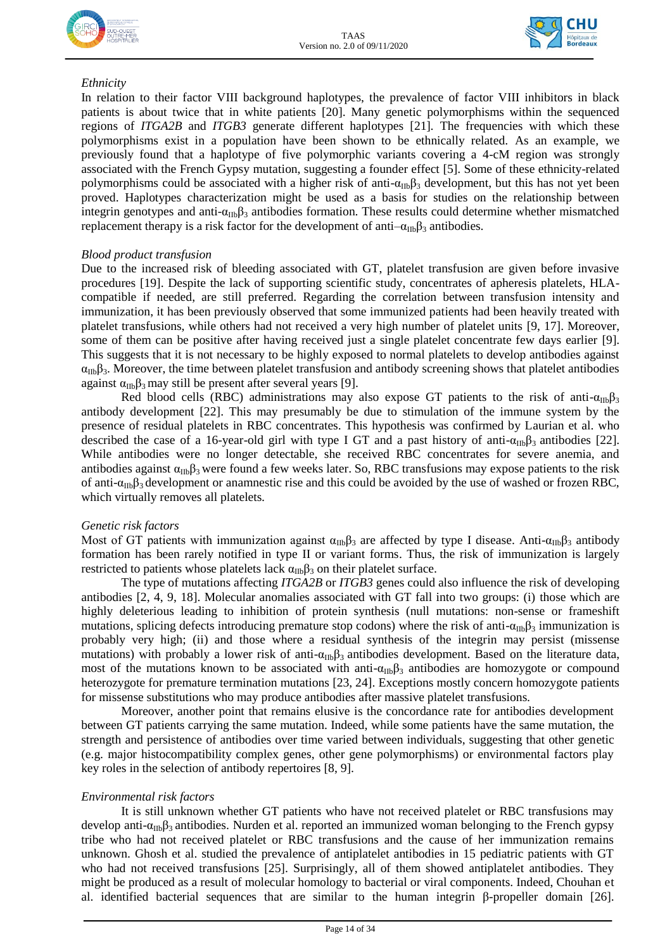



#### *Ethnicity*

In relation to their factor VIII background haplotypes, the prevalence of factor VIII inhibitors in black patients is about twice that in white patients [20]. Many genetic polymorphisms within the sequenced regions of *ITGA2B* and *ITGB3* generate different haplotypes [21]*.* The frequencies with which these polymorphisms exist in a population have been shown to be ethnically related. As an example*,* we previously found that a haplotype of five polymorphic variants covering a 4-cM region was strongly associated with the French Gypsy mutation, suggesting a founder effect [5]. Some of these [ethnicity-related](https://www.ncbi.nlm.nih.gov/pmc/articles/PMC1876748/)  [polymorphisms](https://www.ncbi.nlm.nih.gov/pmc/articles/PMC1876748/) could be associated with a higher risk of anti- $\alpha_{IIb}\beta_3$  development, but this has not yet been proved. Haplotypes characterization might be used as a basis for studies on the relationship between integrin genotypes and anti- $\alpha_{IIb}\beta_3$  antibodies formation. These results could determine whether mismatched replacement therapy is a risk factor for the development of anti $-\alpha_{\text{IIb}}\beta_3$  antibodies.

#### *Blood product transfusion*

Due to the increased risk of bleeding associated with GT, platelet transfusion are given before invasive procedures [19]. Despite the lack of supporting scientific study, concentrates of apheresis platelets, HLAcompatible if needed, are still preferred. Regarding the correlation between transfusion intensity and immunization, it has been previously observed that some immunized patients had been heavily treated with platelet transfusions, while others had not received a very high number of platelet units [9, 17]. Moreover, some of them can be positive after having received just a single platelet concentrate few days earlier [9]. This suggests that it is not necessary to be highly exposed to normal platelets to develop antibodies against  $\alpha_{IIb}\beta_3$ . Moreover, the time between platelet transfusion and antibody screening shows that platelet antibodies against  $\alpha_{\text{IIb}}\beta_3$  may still be present after several years [9].

Red blood cells (RBC) administrations may also expose GT patients to the risk of anti- $\alpha_{\text{IIb}}\beta_3$ antibody development [22]. This may presumably be due to stimulation of the immune system by the presence of residual platelets in RBC concentrates. This hypothesis was confirmed by Laurian et al. who described the case of a 16-year-old girl with type I GT and a past history of anti- $\alpha_{\text{IIb}}\beta_3$  antibodies [22]. While antibodies were no longer detectable, she received RBC concentrates for severe anemia, and antibodies against  $\alpha_{\text{IIb}}\beta_3$  were found a few weeks later. So, RBC transfusions may expose patients to the risk of anti- $\alpha_{\text{ID}}\beta_3$  development or anamnestic rise and this could be avoided by the use of washed or frozen RBC, which virtually removes all platelets*.*

#### *Genetic risk factors*

Most of GT patients with immunization against  $\alpha_{IIb}\beta_3$  are affected by type I disease. Anti- $\alpha_{IIb}\beta_3$  antibody formation has been rarely notified in type II or variant forms. Thus, the risk of immunization is largely restricted to patients whose platelets lack  $\alpha_{\text{IIb}}\beta_3$  on their platelet surface.

The type of mutations affecting *ITGA2B* or *ITGB3* genes could also influence the risk of developing antibodies [2, 4, 9, 18]. Molecular anomalies associated with GT fall into two groups: (i) those which are highly deleterious leading to inhibition of protein synthesis (null mutations: non-sense or frameshift mutations, splicing defects introducing premature stop codons) where the risk of anti- $\alpha_{\text{IIb}}\beta_3$  immunization is probably very high; (ii) and those where a residual synthesis of the integrin may persist (missense mutations) with probably a lower risk of anti- $\alpha_{IIb}\beta_3$  antibodies development. Based on the literature data, most of the mutations known to be associated with anti- $\alpha_{\text{IIb}}\beta_3$  antibodies are homozygote or compound heterozygote for premature termination mutations [23, 24]. Exceptions mostly concern homozygote patients for missense substitutions who may produce antibodies after massive platelet transfusions*.*

Moreover, another point that remains elusive is the concordance rate for antibodies development between GT patients carrying the same mutation. Indeed, while some patients have the same mutation, the strength and persistence of antibodies over time varied between individuals, suggesting that other genetic (e.g. major histocompatibility complex genes, other gene polymorphisms) or environmental factors play key roles in the selection of antibody repertoires [8, 9].

#### *Environmental risk factors*

It is still unknown whether GT patients who have not received platelet or RBC transfusions may develop anti- $\alpha_{\text{ID}}\beta_3$  antibodies. Nurden et al. reported an immunized woman belonging to the French gypsy tribe who had not received platelet or RBC transfusions and the cause of her immunization remains unknown. Ghosh et al. studied the prevalence of antiplatelet antibodies in 15 pediatric patients with GT who had not received transfusions [25]. Surprisingly, all of them showed antiplatelet antibodies. They might be produced as a result of molecular homology to bacterial or viral components. Indeed, Chouhan et al. identified bacterial sequences that are similar to the human integrin β-propeller domain [26].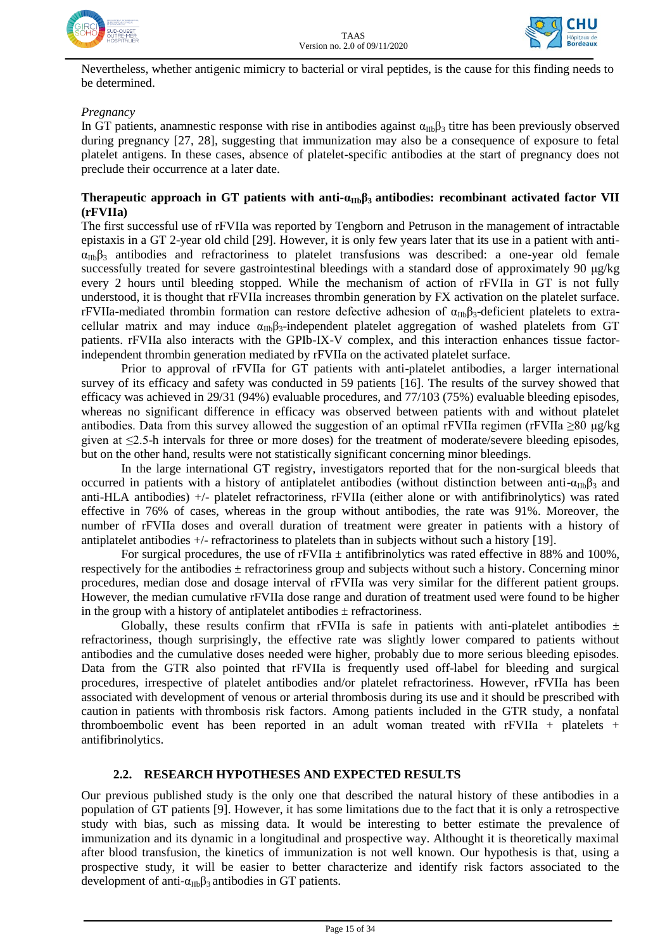



Nevertheless, whether antigenic mimicry to bacterial or viral peptides, is the cause for this finding needs to be determined.

#### *Pregnancy*

In GT patients, anamnestic response with rise in antibodies against  $\alpha_{\text{In}}\beta_3$  titre has been previously observed during pregnancy [27, 28], suggesting that immunization may also be a consequence of exposure to fetal platelet antigens. In these cases, absence of platelet-specific antibodies at the start of pregnancy does not preclude their occurrence at a later date.

#### **Therapeutic approach in GT patients with anti-α<sub>IIb</sub>β<sub>3</sub> antibodies: recombinant activated factor VII (rFVIIa)**

The first successful use of rFVIIa was reported by Tengborn and Petruson in the management of intractable epistaxis in a GT 2-year old child [29]. However, it is only few years later that its use in a patient with anti- $\alpha_{IIb}\beta_3$  antibodies and refractoriness to platelet transfusions was described: a one-year old female successfully treated for severe gastrointestinal bleedings with a standard dose of approximately 90 μg/kg every 2 hours until bleeding stopped. While the mechanism of action of rFVIIa in GT is not fully understood, it is thought that rFVIIa increases thrombin generation by FX activation on the platelet surface. rFVIIa-mediated thrombin formation can restore defective adhesion of  $\alpha_{\text{IIb}}\beta_3$ -deficient platelets to extracellular matrix and may induce  $\alpha_{\text{IIb}}\beta_3$ -independent platelet aggregation of washed platelets from GT patients. rFVIIa also interacts with the GPIb-IX-V complex, and this interaction enhances tissue factorindependent thrombin generation mediated by rFVIIa on the activated platelet surface.

Prior to approval of rFVIIa for GT patients with anti-platelet antibodies, a larger international survey of its efficacy and safety was conducted in 59 patients [16]. The results of the survey showed that efficacy was achieved in 29/31 (94%) evaluable procedures, and 77/103 (75%) evaluable bleeding episodes, whereas no significant difference in efficacy was observed between patients with and without platelet antibodies. Data from this survey allowed the suggestion of an optimal rFVIIa regimen (rFVIIa  $\geq 80 \mu g/kg$ given at ≤2.5-h intervals for three or more doses) for the treatment of moderate/severe bleeding episodes, but on the other hand, results were not statistically significant concerning minor bleedings.

In the large international GT registry, investigators reported that for the non-surgical bleeds that occurred in patients with a history of antiplatelet antibodies (without distinction between anti- $\alpha_{\text{IIb}}\beta_3$  and anti-HLA antibodies) +/- platelet refractoriness, rFVIIa (either alone or with antifibrinolytics) was rated effective in 76% of cases, whereas in the group without antibodies, the rate was 91%. Moreover, the number of rFVIIa doses and overall duration of treatment were greater in patients with a history of antiplatelet antibodies +/- refractoriness to platelets than in subjects without such a history [19].

For surgical procedures, the use of rFVIIa  $\pm$  antifibrinolytics was rated effective in 88% and 100%, respectively for the antibodies  $\pm$  refractoriness group and subjects without such a history. Concerning minor procedures, median dose and dosage interval of rFVIIa was very similar for the different patient groups. However, the median cumulative rFVIIa dose range and duration of treatment used were found to be higher in the group with a history of antiplatelet antibodies  $\pm$  refractoriness.

Globally, these results confirm that rFVIIa is safe in patients with anti-platelet antibodies  $\pm$ refractoriness, though surprisingly, the effective rate was slightly lower compared to patients without antibodies and the cumulative doses needed were higher, probably due to more serious bleeding episodes. Data from the GTR also pointed that rFVIIa is frequently used off-label for bleeding and surgical procedures, irrespective of platelet antibodies and/or platelet refractoriness. However, rFVIIa has been associated with development of venous or arterial thrombosis during its use and it should be prescribed with caution in patients with thrombosis risk factors. Among patients included in the GTR study, a nonfatal thromboembolic event has been reported in an adult woman treated with  $rFVIIa + platelets +$ antifibrinolytics.

#### **2.2. RESEARCH HYPOTHESES AND EXPECTED RESULTS**

Our previous published study is the only one that described the natural history of these antibodies in a population of GT patients [9]. However, it has some limitations due to the fact that it is only a retrospective study with bias, such as missing data. It would be interesting to better estimate the prevalence of immunization and its dynamic in a longitudinal and prospective way. Althought it is theoretically maximal after blood transfusion, the kinetics of immunization is not well known. Our hypothesis is that, using a prospective study, it will be easier to better characterize and identify risk factors associated to the development of anti- $\alpha_{IIb}\beta_3$  antibodies in GT patients.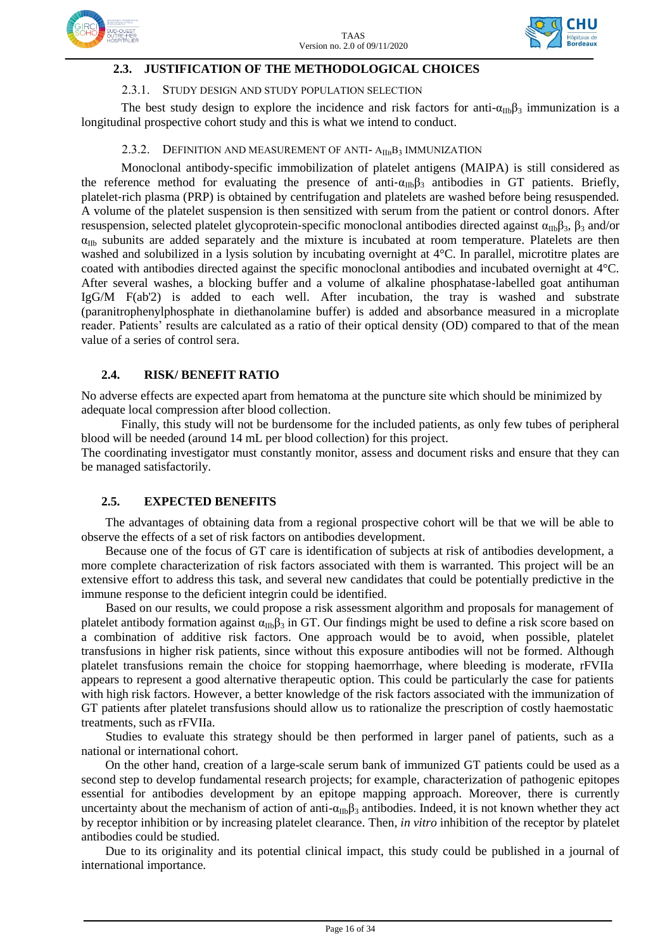



#### **2.3. JUSTIFICATION OF THE METHODOLOGICAL CHOICES**

#### 2.3.1. STUDY DESIGN AND STUDY POPULATION SELECTION

The best study design to explore the incidence and risk factors for anti- $\alpha_{IIb}\beta_3$  immunization is a longitudinal prospective cohort study and this is what we intend to conduct.

#### 2.3.2. DEFINITION AND MEASUREMENT OF ANTI- A<sub>IIB</sub>B<sub>3</sub> IMMUNIZATION

Monoclonal antibody‐specific immobilization of platelet antigens (MAIPA) is still considered as the reference method for evaluating the presence of anti- $\alpha_{\text{IIb}}\beta_3$  antibodies in GT patients. Briefly, platelet-rich plasma (PRP) is obtained by centrifugation and platelets are washed before being resuspended. A volume of the platelet suspension is then sensitized with serum from the patient or control donors. After resuspension, selected platelet glycoprotein-specific monoclonal antibodies directed against  $α_{\text{IIb}}β_3$ ,  $β_3$  and/or  $\alpha_{\text{IIb}}$  subunits are added separately and the mixture is incubated at room temperature. Platelets are then washed and solubilized in a lysis solution by incubating overnight at 4°C. In parallel, microtitre plates are coated with antibodies directed against the specific monoclonal antibodies and incubated overnight at 4°C. After several washes, a blocking buffer and a volume of alkaline phosphatase-labelled goat antihuman IgG/M F(ab'2) is added to each well. After incubation, the tray is washed and substrate (paranitrophenylphosphate in diethanolamine buffer) is added and absorbance measured in a microplate reader. Patients' results are calculated as a ratio of their optical density (OD) compared to that of the mean value of a series of control sera.

#### **2.4. RISK/ BENEFIT RATIO**

No adverse effects are expected apart from hematoma at the puncture site which should be minimized by adequate local compression after blood collection.

Finally, this study will not be burdensome for the included patients, as only few tubes of peripheral blood will be needed (around 14 mL per blood collection) for this project.

The coordinating investigator must constantly monitor, assess and document risks and ensure that they can be managed satisfactorily.

#### **2.5. EXPECTED BENEFITS**

The advantages of obtaining data from a regional prospective cohort will be that we will be able to observe the effects of a set of risk factors on antibodies development.

Because one of the focus of GT care is identification of subjects at risk of antibodies development, a more complete characterization of risk factors associated with them is warranted. This project will be an extensive effort to address this task, and several new candidates that could be potentially predictive in the immune response to the deficient integrin could be identified.

Based on our results, we could propose a risk assessment algorithm and proposals for management of platelet antibody formation against  $\alpha_{IIb}\beta_3$  in GT. Our findings might be used to define a risk score based on a combination of additive risk factors. One approach would be to avoid, when possible, platelet transfusions in higher risk patients, since without this exposure antibodies will not be formed. Although platelet transfusions remain the choice for stopping haemorrhage, where bleeding is moderate, rFVIIa appears to represent a good alternative therapeutic option. This could be particularly the case for patients with high risk factors. However, a better knowledge of the risk factors associated with the immunization of GT patients after platelet transfusions should allow us to rationalize the prescription of costly haemostatic treatments, such as rFVIIa.

Studies to evaluate this strategy should be then performed in larger panel of patients, such as a national or international cohort.

On the other hand, creation of a large-scale serum bank of immunized GT patients could be used as a second step to develop fundamental research projects; for example, characterization of pathogenic epitopes essential for antibodies development by an epitope mapping approach. Moreover, there is currently uncertainty about the mechanism of action of anti- $\alpha_{\text{IIb}}\beta_3$  antibodies. Indeed, it is not known whether they act by receptor inhibition or by increasing platelet clearance. Then, *in vitro* inhibition of the receptor by platelet antibodies could be studied.

Due to its originality and its potential clinical impact, this study could be published in a journal of international importance.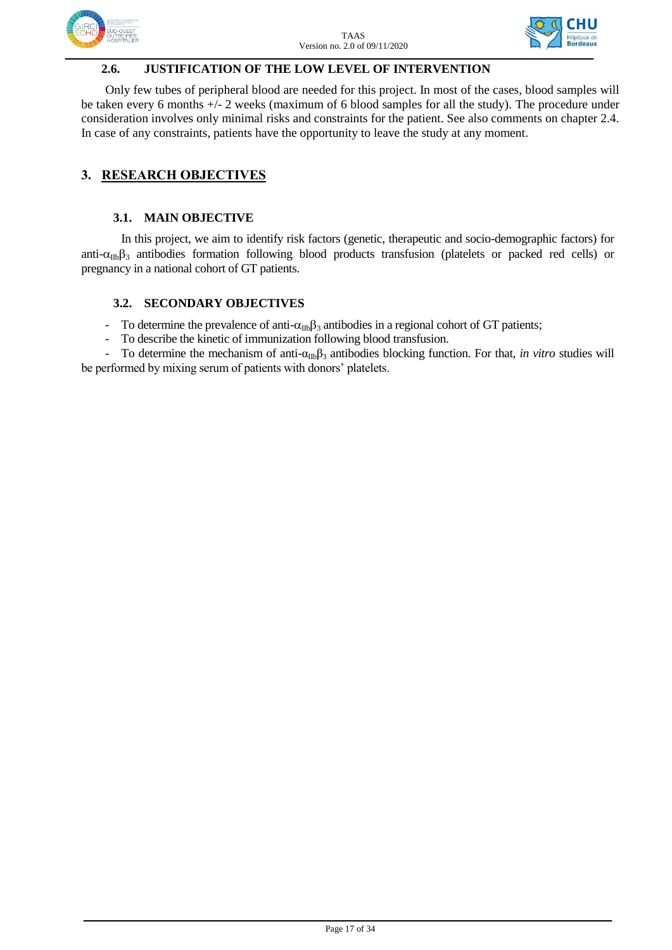



#### **2.6. JUSTIFICATION OF THE LOW LEVEL OF INTERVENTION**

Only few tubes of peripheral blood are needed for this project. In most of the cases, blood samples will be taken every 6 months +/- 2 weeks (maximum of 6 blood samples for all the study). The procedure under consideration involves only minimal risks and constraints for the patient. See also comments on chapter 2.4. In case of any constraints, patients have the opportunity to leave the study at any moment.

## **3. RESEARCH OBJECTIVES**

#### **3.1. MAIN OBJECTIVE**

In this project, we aim to identify risk factors (genetic, therapeutic and socio-demographic factors) for anti- $\alpha_{\text{IIb}}\beta_3$  antibodies formation following blood products transfusion (platelets or packed red cells) or pregnancy in a national cohort of GT patients.

#### **3.2. SECONDARY OBJECTIVES**

- To determine the prevalence of anti- $\alpha_{\text{ID}}\beta_3$  antibodies in a regional cohort of GT patients;

- To describe the kinetic of immunization following blood transfusion.

To determine the mechanism of anti-α<sub>IIb</sub>β<sub>3</sub> antibodies blocking function. For that, *in vitro* studies will be performed by mixing serum of patients with donors' platelets.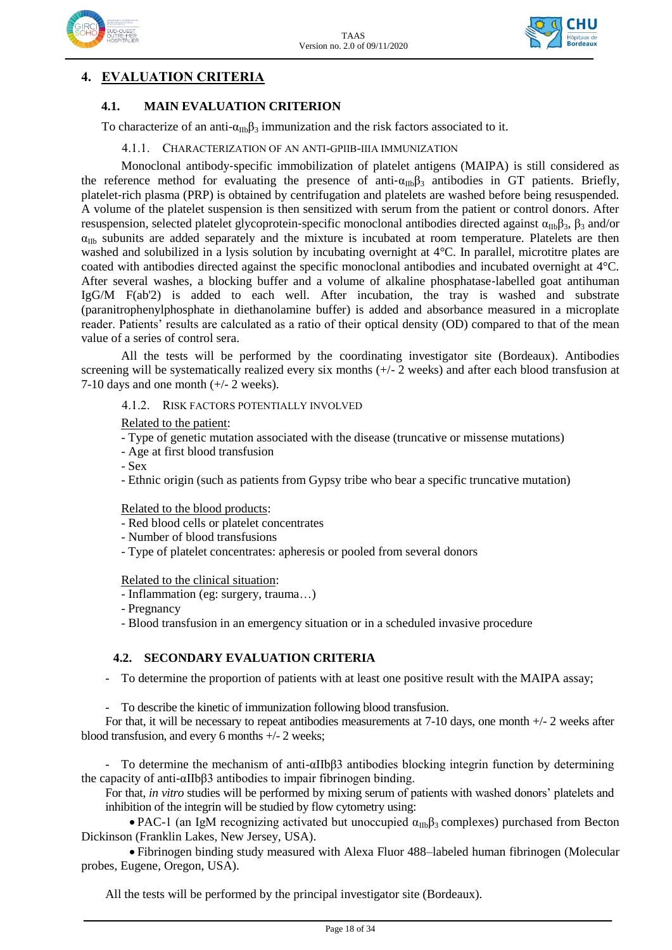



## **4. EVALUATION CRITERIA**

#### **4.1. MAIN EVALUATION CRITERION**

To characterize of an anti- $\alpha_{\text{IIb}}\beta_3$  immunization and the risk factors associated to it.

#### 4.1.1. CHARACTERIZATION OF AN ANTI-GPIIB-IIIA IMMUNIZATION

Monoclonal antibody‐specific immobilization of platelet antigens (MAIPA) is still considered as the reference method for evaluating the presence of anti- $\alpha_{IIb}\beta_3$  antibodies in GT patients. Briefly, platelet-rich plasma (PRP) is obtained by centrifugation and platelets are washed before being resuspended. A volume of the platelet suspension is then sensitized with serum from the patient or control donors. After resuspension, selected platelet glycoprotein-specific monoclonal antibodies directed against  $α_{\text{ID}}β_3$ ,  $β_3$  and/or  $\alpha_{\text{IIb}}$  subunits are added separately and the mixture is incubated at room temperature. Platelets are then washed and solubilized in a lysis solution by incubating overnight at 4°C. In parallel, microtitre plates are coated with antibodies directed against the specific monoclonal antibodies and incubated overnight at 4°C. After several washes, a blocking buffer and a volume of alkaline phosphatase-labelled goat antihuman IgG/M F(ab'2) is added to each well. After incubation, the tray is washed and substrate (paranitrophenylphosphate in diethanolamine buffer) is added and absorbance measured in a microplate reader. Patients' results are calculated as a ratio of their optical density (OD) compared to that of the mean value of a series of control sera.

All the tests will be performed by the coordinating investigator site (Bordeaux). Antibodies screening will be systematically realized every six months (+/- 2 weeks) and after each blood transfusion at 7-10 days and one month (+/- 2 weeks).

#### 4.1.2. RISK FACTORS POTENTIALLY INVOLVED

Related to the patient:

- Type of genetic mutation associated with the disease (truncative or missense mutations)
- Age at first blood transfusion

- Sex

- Ethnic origin (such as patients from Gypsy tribe who bear a specific truncative mutation)

Related to the blood products:

- Red blood cells or platelet concentrates
- Number of blood transfusions
- Type of platelet concentrates: apheresis or pooled from several donors

Related to the clinical situation:

- Inflammation (eg: surgery, trauma…)
- Pregnancy
- Blood transfusion in an emergency situation or in a scheduled invasive procedure

#### **4.2. SECONDARY EVALUATION CRITERIA**

- To determine the proportion of patients with at least one positive result with the MAIPA assay;

- To describe the kinetic of immunization following blood transfusion.

For that, it will be necessary to repeat antibodies measurements at 7-10 days, one month +/- 2 weeks after blood transfusion, and every 6 months +/- 2 weeks;

- To determine the mechanism of anti-αIIbβ3 antibodies blocking integrin function by determining the capacity of anti-αIIbβ3 antibodies to impair fibrinogen binding.

For that, *in vitro* studies will be performed by mixing serum of patients with washed donors' platelets and inhibition of the integrin will be studied by flow cytometry using:

• PAC-1 (an IgM recognizing activated but unoccupied  $\alpha_{IIb}\beta_3$  complexes) purchased from Becton Dickinson (Franklin Lakes, New Jersey, USA).

 Fibrinogen binding study measured with Alexa Fluor 488–labeled human fibrinogen (Molecular probes, Eugene, Oregon, USA).

All the tests will be performed by the principal investigator site (Bordeaux).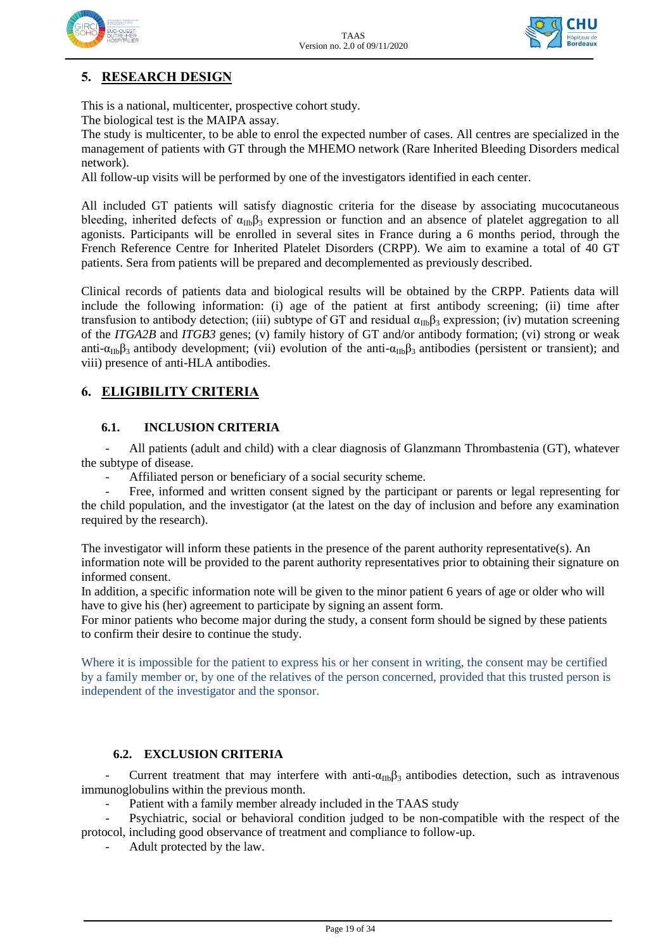



## **5. RESEARCH DESIGN**

This is a national, multicenter, prospective cohort study.

The biological test is the MAIPA assay.

The study is multicenter, to be able to enrol the expected number of cases. All centres are specialized in the management of patients with GT through the MHEMO network (Rare Inherited Bleeding Disorders medical network).

All follow-up visits will be performed by one of the investigators identified in each center.

All included GT patients will satisfy diagnostic criteria for the disease by associating mucocutaneous bleeding, inherited defects of  $\alpha_{\text{IIb}}\beta_3$  expression or function and an absence of platelet aggregation to all agonists. Participants will be enrolled in several sites in France during a 6 months period, through the French Reference Centre for Inherited Platelet Disorders (CRPP). We aim to examine a total of 40 GT patients. Sera from patients will be prepared and decomplemented as previously described.

Clinical records of patients data and biological results will be obtained by the CRPP. Patients data will include the following information: (i) age of the patient at first antibody screening; (ii) time after transfusion to antibody detection; (iii) subtype of GT and residual  $\alpha_{\text{IIb}}\beta_3$  expression; (iv) mutation screening of the *ITGA2B* and *ITGB3* genes; (v) family history of GT and/or antibody formation; (vi) strong or weak anti- $\alpha_{IIb}\beta_3$  antibody development; (vii) evolution of the anti- $\alpha_{IIb}\beta_3$  antibodies (persistent or transient); and viii) presence of anti-HLA antibodies.

#### **6. ELIGIBILITY CRITERIA**

#### **6.1. INCLUSION CRITERIA**

All patients (adult and child) with a clear diagnosis of Glanzmann Thrombastenia (GT), whatever the subtype of disease.

Affiliated person or beneficiary of a social security scheme.

Free, informed and written consent signed by the participant or parents or legal representing for the child population, and the investigator (at the latest on the day of inclusion and before any examination required by the research).

The investigator will inform these patients in the presence of the parent authority representative(s). An information note will be provided to the parent authority representatives prior to obtaining their signature on informed consent.

In addition, a specific information note will be given to the minor patient 6 years of age or older who will have to give his (her) agreement to participate by signing an assent form.

For minor patients who become major during the study, a consent form should be signed by these patients to confirm their desire to continue the study.

Where it is impossible for the patient to express his or her consent in writing, the consent may be certified by a family member or, by one of the relatives of the person concerned, provided that this trusted person is independent of the investigator and the sponsor.

#### **6.2. EXCLUSION CRITERIA**

Current treatment that may interfere with anti- $\alpha_{IIb}\beta_3$  antibodies detection, such as intravenous immunoglobulins within the previous month.

Patient with a family member already included in the TAAS study

Psychiatric, social or behavioral condition judged to be non-compatible with the respect of the protocol, including good observance of treatment and compliance to follow-up.

Adult protected by the law.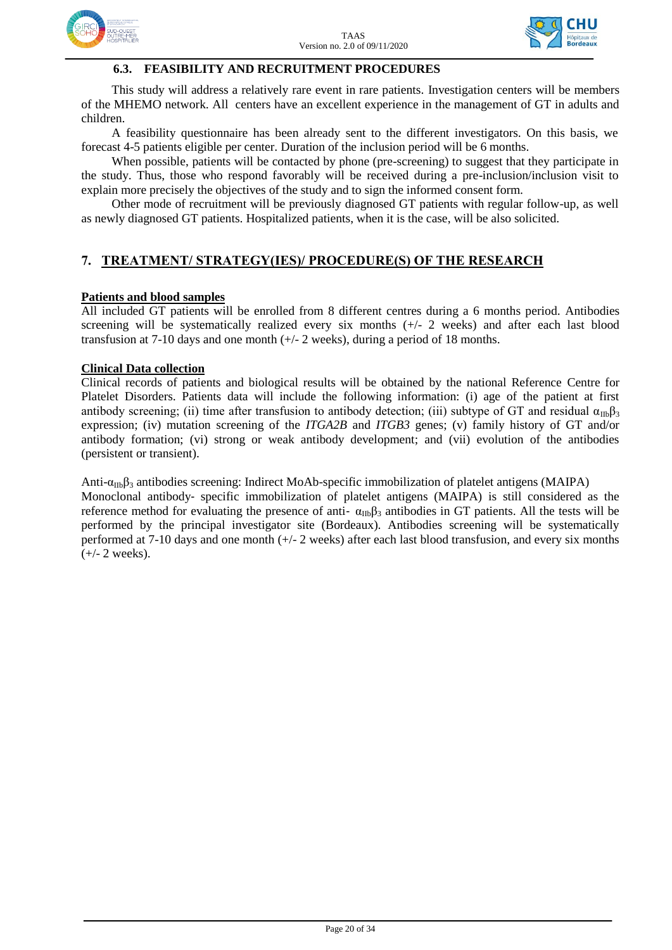



#### **6.3. FEASIBILITY AND RECRUITMENT PROCEDURES**

This study will address a relatively rare event in rare patients. Investigation centers will be members of the MHEMO network. All centers have an excellent experience in the management of GT in adults and children.

A feasibility questionnaire has been already sent to the different investigators. On this basis, we forecast 4-5 patients eligible per center. Duration of the inclusion period will be 6 months.

When possible, patients will be contacted by phone (pre-screening) to suggest that they participate in the study. Thus, those who respond favorably will be received during a pre-inclusion/inclusion visit to explain more precisely the objectives of the study and to sign the informed consent form.

Other mode of recruitment will be previously diagnosed GT patients with regular follow-up, as well as newly diagnosed GT patients. Hospitalized patients, when it is the case, will be also solicited.

### **7. TREATMENT/ STRATEGY(IES)/ PROCEDURE(S) OF THE RESEARCH**

#### **Patients and blood samples**

All included GT patients will be enrolled from 8 different centres during a 6 months period. Antibodies screening will be systematically realized every six months (+/- 2 weeks) and after each last blood transfusion at 7-10 days and one month (+/- 2 weeks), during a period of 18 months.

#### **Clinical Data collection**

Clinical records of patients and biological results will be obtained by the national Reference Centre for Platelet Disorders. Patients data will include the following information: (i) age of the patient at first antibody screening; (ii) time after transfusion to antibody detection; (iii) subtype of GT and residual  $\alpha_{\text{IIb}}\beta_3$ expression; (iv) mutation screening of the *ITGA2B* and *ITGB3* genes; (v) family history of GT and/or antibody formation; (vi) strong or weak antibody development; and (vii) evolution of the antibodies (persistent or transient).

Anti- $\alpha_{IIb}\beta_3$  antibodies screening: Indirect MoAb-specific immobilization of platelet antigens (MAIPA) Monoclonal antibody‐ specific immobilization of platelet antigens (MAIPA) is still considered as the reference method for evaluating the presence of anti-  $\alpha_{IIb}\beta_3$  antibodies in GT patients. All the tests will be performed by the principal investigator site (Bordeaux). Antibodies screening will be systematically performed at 7-10 days and one month (+/- 2 weeks) after each last blood transfusion, and every six months  $(+/- 2$  weeks).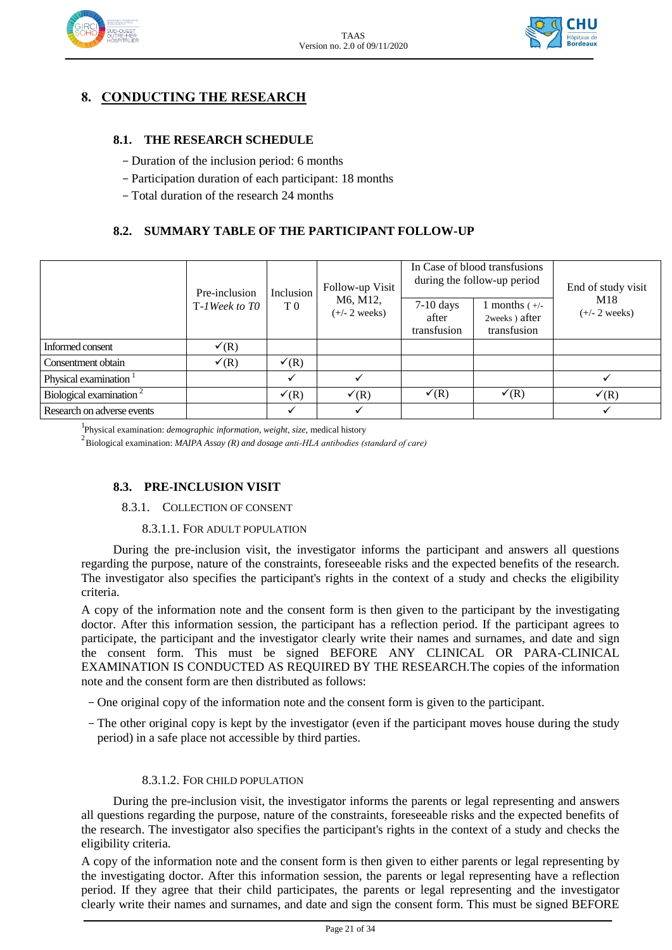



## **8. CONDUCTING THE RESEARCH**

#### **8.1. THE RESEARCH SCHEDULE**

- Duration of the inclusion period: 6 months
- Participation duration of each participant: 18 months
- Total duration of the research 24 months

#### **8.2. SUMMARY TABLE OF THE PARTICIPANT FOLLOW-UP**

|                                     | Pre-inclusion<br>T-1Week to TO | Inclusion<br>T <sub>0</sub> | Follow-up Visit<br>M6, M12,<br>$(+/- 2$ weeks) | In Case of blood transfusions<br>during the follow-up period |                                                  | End of study visit     |
|-------------------------------------|--------------------------------|-----------------------------|------------------------------------------------|--------------------------------------------------------------|--------------------------------------------------|------------------------|
|                                     |                                |                             |                                                | $7-10$ days<br>after<br>transfusion                          | 1 months $(+/-)$<br>2weeks) after<br>transfusion | M18<br>$(+/- 2$ weeks) |
| Informed consent                    | $\checkmark$ (R)               |                             |                                                |                                                              |                                                  |                        |
| Consentment obtain                  | $\checkmark$ (R)               | $\checkmark$ (R)            |                                                |                                                              |                                                  |                        |
| Physical examination <sup>1</sup>   |                                |                             |                                                |                                                              |                                                  |                        |
| Biological examination <sup>2</sup> |                                | $\checkmark$ (R)            | $\checkmark$ (R)                               | $\checkmark$ (R)                                             | $\checkmark$ (R)                                 | $\checkmark$ (R)       |
| Research on adverse events          |                                | ✓                           |                                                |                                                              |                                                  |                        |

1 Physical examination: *demographic information, weight, size,* medical history

<sup>2</sup>Biological examination: *MAIPA Assay (R) and dosage anti-HLA antibodies (standard of care)*

#### **8.3. PRE-INCLUSION VISIT**

#### 8.3.1. COLLECTION OF CONSENT

#### 8.3.1.1. FOR ADULT POPULATION

During the pre-inclusion visit, the investigator informs the participant and answers all questions regarding the purpose, nature of the constraints, foreseeable risks and the expected benefits of the research. The investigator also specifies the participant's rights in the context of a study and checks the eligibility criteria.

A copy of the information note and the consent form is then given to the participant by the investigating doctor. After this information session, the participant has a reflection period. If the participant agrees to participate, the participant and the investigator clearly write their names and surnames, and date and sign the consent form. This must be signed BEFORE ANY CLINICAL OR PARA-CLINICAL EXAMINATION IS CONDUCTED AS REQUIRED BY THE RESEARCH.The copies of the information note and the consent form are then distributed as follows:

- One original copy of the information note and the consent form is given to the participant.
- The other original copy is kept by the investigator (even if the participant moves house during the study period) in a safe place not accessible by third parties.

#### 8.3.1.2. FOR CHILD POPULATION

During the pre-inclusion visit, the investigator informs the parents or legal representing and answers all questions regarding the purpose, nature of the constraints, foreseeable risks and the expected benefits of the research. The investigator also specifies the participant's rights in the context of a study and checks the eligibility criteria.

A copy of the information note and the consent form is then given to either parents or legal representing by the investigating doctor. After this information session, the parents or legal representing have a reflection period. If they agree that their child participates, the parents or legal representing and the investigator clearly write their names and surnames, and date and sign the consent form. This must be signed BEFORE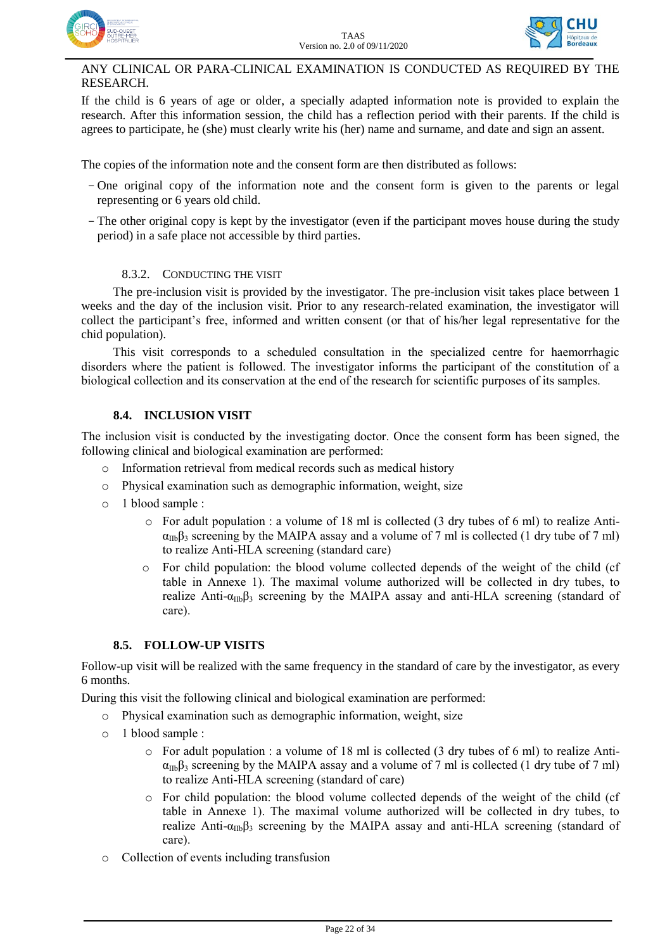



#### ANY CLINICAL OR PARA-CLINICAL EXAMINATION IS CONDUCTED AS REQUIRED BY THE RESEARCH.

If the child is 6 years of age or older, a specially adapted information note is provided to explain the research. After this information session, the child has a reflection period with their parents. If the child is agrees to participate, he (she) must clearly write his (her) name and surname, and date and sign an assent.

The copies of the information note and the consent form are then distributed as follows:

- One original copy of the information note and the consent form is given to the parents or legal representing or 6 years old child.
- The other original copy is kept by the investigator (even if the participant moves house during the study period) in a safe place not accessible by third parties.

#### 8.3.2. CONDUCTING THE VISIT

The pre-inclusion visit is provided by the investigator. The pre-inclusion visit takes place between 1 weeks and the day of the inclusion visit. Prior to any research-related examination, the investigator will collect the participant's free, informed and written consent (or that of his/her legal representative for the chid population).

This visit corresponds to a scheduled consultation in the specialized centre for haemorrhagic disorders where the patient is followed. The investigator informs the participant of the constitution of a biological collection and its conservation at the end of the research for scientific purposes of its samples.

#### **8.4. INCLUSION VISIT**

The inclusion visit is conducted by the investigating doctor. Once the consent form has been signed, the following clinical and biological examination are performed:

- o Information retrieval from medical records such as medical history
- o Physical examination such as demographic information, weight, size
- o 1 blood sample :
	- $\circ$  For adult population : a volume of 18 ml is collected (3 dry tubes of 6 ml) to realize Anti- $\alpha_{IIb}\beta_3$  screening by the MAIPA assay and a volume of 7 ml is collected (1 dry tube of 7 ml) to realize Anti-HLA screening (standard care)
	- o For child population: the blood volume collected depends of the weight of the child (cf table in Annexe 1). The maximal volume authorized will be collected in dry tubes, to realize Anti- $\alpha_{\text{IIb}}\beta_3$  screening by the MAIPA assay and anti-HLA screening (standard of care).

#### **8.5. FOLLOW-UP VISITS**

Follow-up visit will be realized with the same frequency in the standard of care by the investigator, as every 6 months.

During this visit the following clinical and biological examination are performed:

- o Physical examination such as demographic information, weight, size
- o 1 blood sample :
	- o For adult population : a volume of 18 ml is collected (3 dry tubes of 6 ml) to realize Anti- $\alpha_{\text{IIb}}\beta_3$  screening by the MAIPA assay and a volume of 7 ml is collected (1 dry tube of 7 ml) to realize Anti-HLA screening (standard of care)
	- o For child population: the blood volume collected depends of the weight of the child (cf table in Annexe 1). The maximal volume authorized will be collected in dry tubes, to realize Anti- $\alpha_{\text{IIb}}\beta_3$  screening by the MAIPA assay and anti-HLA screening (standard of care).
- o Collection of events including transfusion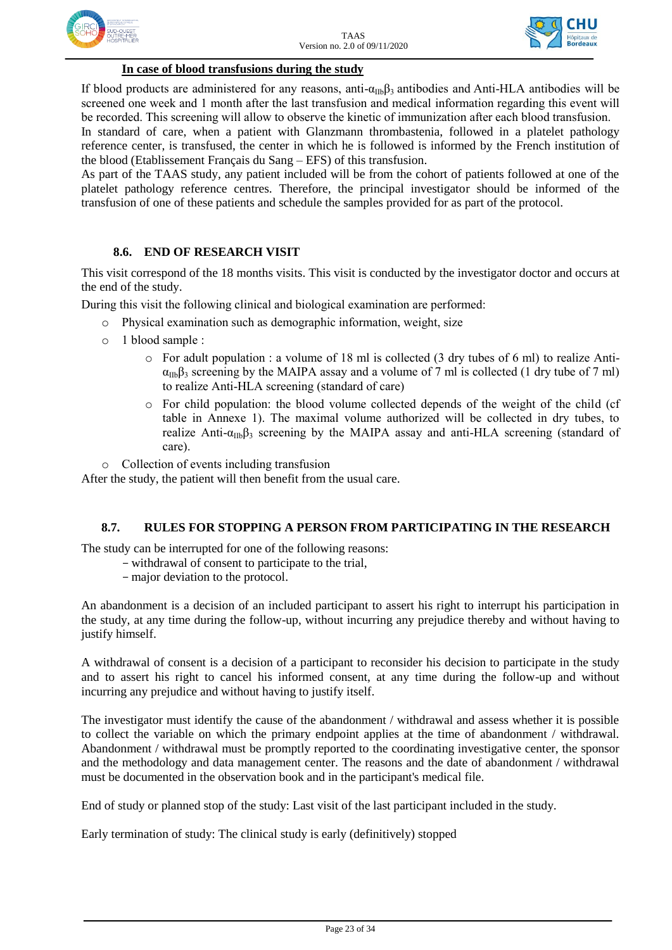



#### **In case of blood transfusions during the study**

If blood products are administered for any reasons, anti- $\alpha_{IIb}\beta_3$  antibodies and Anti-HLA antibodies will be screened one week and 1 month after the last transfusion and medical information regarding this event will be recorded. This screening will allow to observe the kinetic of immunization after each blood transfusion.

In standard of care, when a patient with Glanzmann thrombastenia, followed in a platelet pathology reference center, is transfused, the center in which he is followed is informed by the French institution of the blood (Etablissement Français du Sang – EFS) of this transfusion.

As part of the TAAS study, any patient included will be from the cohort of patients followed at one of the platelet pathology reference centres. Therefore, the principal investigator should be informed of the transfusion of one of these patients and schedule the samples provided for as part of the protocol.

#### **8.6. END OF RESEARCH VISIT**

This visit correspond of the 18 months visits. This visit is conducted by the investigator doctor and occurs at the end of the study.

During this visit the following clinical and biological examination are performed:

- Physical examination such as demographic information, weight, size
- o 1 blood sample :
	- $\circ$  For adult population : a volume of 18 ml is collected (3 dry tubes of 6 ml) to realize Anti- $\alpha_{IIb}\beta_3$  screening by the MAIPA assay and a volume of 7 ml is collected (1 dry tube of 7 ml) to realize Anti-HLA screening (standard of care)
	- o For child population: the blood volume collected depends of the weight of the child (cf table in Annexe 1). The maximal volume authorized will be collected in dry tubes, to realize Anti- $\alpha_{\text{IIb}}\beta_3$  screening by the MAIPA assay and anti-HLA screening (standard of care).
- o Collection of events including transfusion

After the study, the patient will then benefit from the usual care.

#### **8.7. RULES FOR STOPPING A PERSON FROM PARTICIPATING IN THE RESEARCH**

The study can be interrupted for one of the following reasons:

- withdrawal of consent to participate to the trial,
	- major deviation to the protocol.

An abandonment is a decision of an included participant to assert his right to interrupt his participation in the study, at any time during the follow-up, without incurring any prejudice thereby and without having to justify himself.

A withdrawal of consent is a decision of a participant to reconsider his decision to participate in the study and to assert his right to cancel his informed consent, at any time during the follow-up and without incurring any prejudice and without having to justify itself.

The investigator must identify the cause of the abandonment / withdrawal and assess whether it is possible to collect the variable on which the primary endpoint applies at the time of abandonment / withdrawal. Abandonment / withdrawal must be promptly reported to the coordinating investigative center, the sponsor and the methodology and data management center. The reasons and the date of abandonment / withdrawal must be documented in the observation book and in the participant's medical file.

End of study or planned stop of the study: Last visit of the last participant included in the study.

Early termination of study: The clinical study is early (definitively) stopped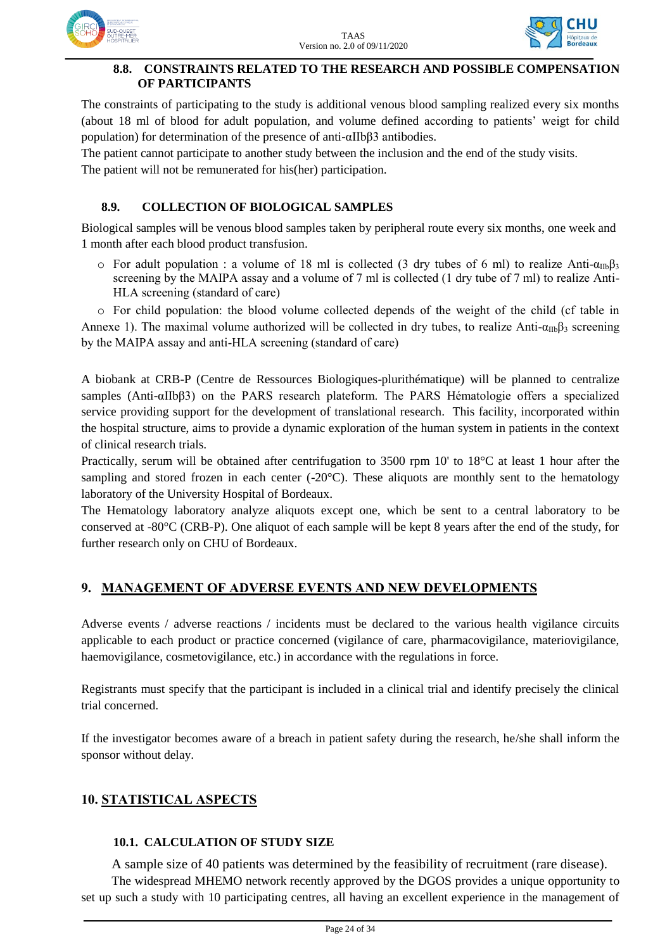

#### **8.8. CONSTRAINTS RELATED TO THE RESEARCH AND POSSIBLE COMPENSATION OF PARTICIPANTS**

The constraints of participating to the study is additional venous blood sampling realized every six months (about 18 ml of blood for adult population, and volume defined according to patients' weigt for child population) for determination of the presence of anti-αIIbβ3 antibodies.

The patient cannot participate to another study between the inclusion and the end of the study visits.

The patient will not be remunerated for his(her) participation.

### **8.9. COLLECTION OF BIOLOGICAL SAMPLES**

Biological samples will be venous blood samples taken by peripheral route every six months, one week and 1 month after each blood product transfusion.

o For adult population : a volume of 18 ml is collected (3 dry tubes of 6 ml) to realize Anti- $\alpha_{\text{IIb}}\beta_3$ screening by the MAIPA assay and a volume of 7 ml is collected (1 dry tube of 7 ml) to realize Anti-HLA screening (standard of care)

o For child population: the blood volume collected depends of the weight of the child (cf table in Annexe 1). The maximal volume authorized will be collected in dry tubes, to realize Anti- $\alpha_{\text{IIb}}\beta_3$  screening by the MAIPA assay and anti-HLA screening (standard of care)

A biobank at CRB-P (Centre de Ressources Biologiques-plurithématique) will be planned to centralize samples (Anti-αIIbβ3) on the PARS research plateform. The PARS Hématologie offers a specialized service providing support for the development of translational research. This facility, incorporated within the hospital structure, aims to provide a dynamic exploration of the human system in patients in the context of clinical research trials.

Practically, serum will be obtained after centrifugation to 3500 rpm 10' to 18°C at least 1 hour after the sampling and stored frozen in each center  $(-20^{\circ}C)$ . These aliquots are monthly sent to the hematology laboratory of the University Hospital of Bordeaux.

The Hematology laboratory analyze aliquots except one, which be sent to a central laboratory to be conserved at -80°C (CRB-P). One aliquot of each sample will be kept 8 years after the end of the study, for further research only on CHU of Bordeaux.

## **9. MANAGEMENT OF ADVERSE EVENTS AND NEW DEVELOPMENTS**

Adverse events / adverse reactions / incidents must be declared to the various health vigilance circuits applicable to each product or practice concerned (vigilance of care, pharmacovigilance, materiovigilance, haemovigilance, cosmetovigilance, etc.) in accordance with the regulations in force.

Registrants must specify that the participant is included in a clinical trial and identify precisely the clinical trial concerned.

If the investigator becomes aware of a breach in patient safety during the research, he/she shall inform the sponsor without delay.

## **10. STATISTICAL ASPECTS**

#### **10.1. CALCULATION OF STUDY SIZE**

A sample size of 40 patients was determined by the feasibility of recruitment (rare disease).

The widespread MHEMO network recently approved by the DGOS provides a unique opportunity to set up such a study with 10 participating centres, all having an excellent experience in the management of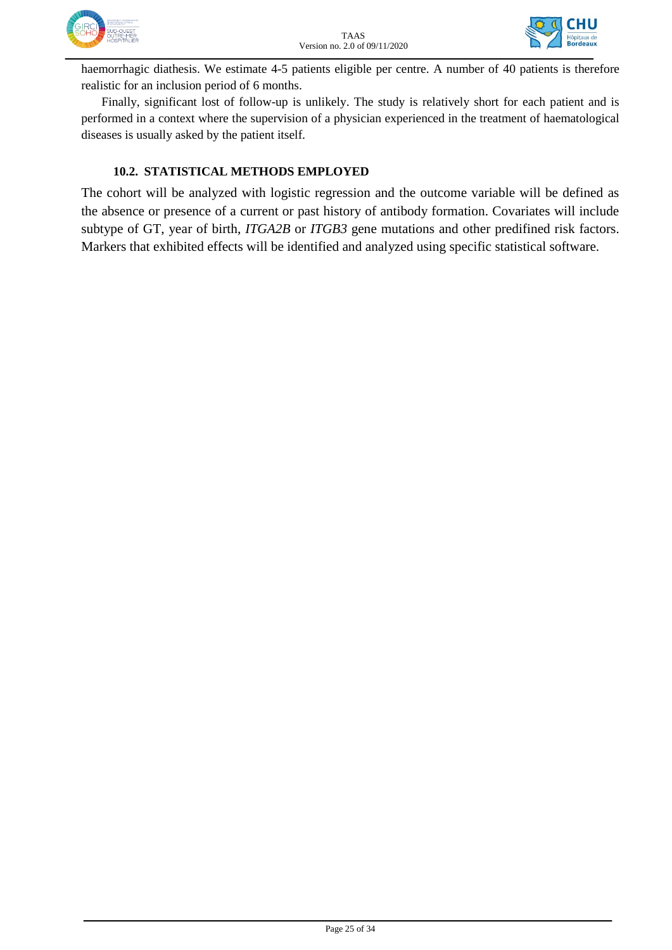



haemorrhagic diathesis. We estimate 4-5 patients eligible per centre. A number of 40 patients is therefore realistic for an inclusion period of 6 months.

Finally, significant lost of follow-up is unlikely. The study is relatively short for each patient and is performed in a context where the supervision of a physician experienced in the treatment of haematological diseases is usually asked by the patient itself.

#### **10.2. STATISTICAL METHODS EMPLOYED**

The cohort will be analyzed with logistic regression and the outcome variable will be defined as the absence or presence of a current or past history of antibody formation. Covariates will include subtype of GT, year of birth, *ITGA2B* or *ITGB3* gene mutations and other predifined risk factors. Markers that exhibited effects will be identified and analyzed using specific statistical software.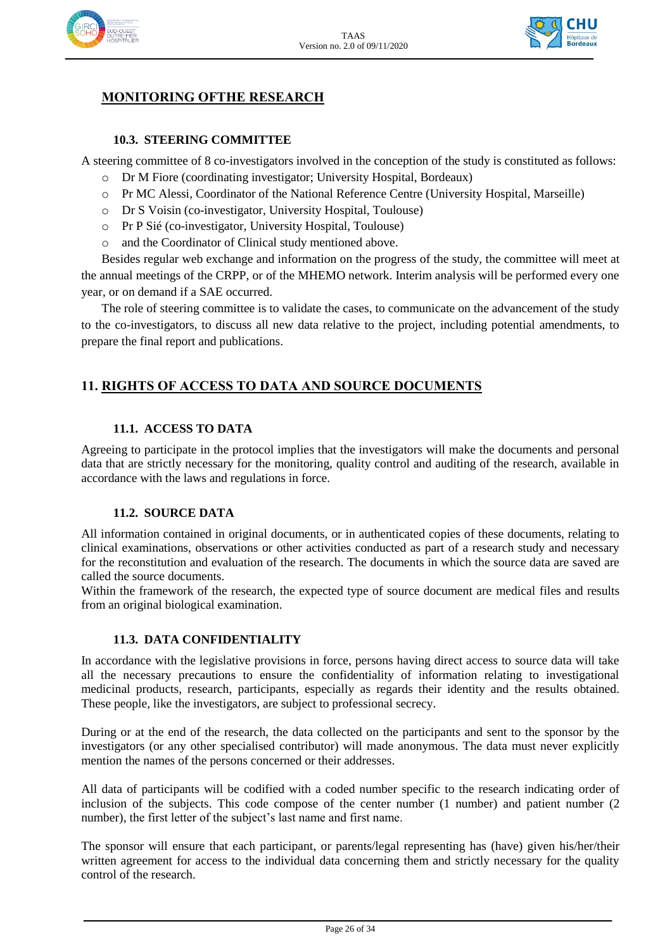



## **MONITORING OFTHE RESEARCH**

#### **10.3. STEERING COMMITTEE**

A steering committee of 8 co-investigators involved in the conception of the study is constituted as follows:

- o Dr M Fiore (coordinating investigator; University Hospital, Bordeaux)
- o Pr MC Alessi, Coordinator of the National Reference Centre (University Hospital, Marseille)
- o Dr S Voisin (co-investigator, University Hospital, Toulouse)
- o Pr P Sié (co-investigator, University Hospital, Toulouse)
- o and the Coordinator of Clinical study mentioned above.

Besides regular web exchange and information on the progress of the study, the committee will meet at the annual meetings of the CRPP, or of the MHEMO network. Interim analysis will be performed every one year, or on demand if a SAE occurred.

The role of steering committee is to validate the cases, to communicate on the advancement of the study to the co-investigators, to discuss all new data relative to the project, including potential amendments, to prepare the final report and publications.

## **11. RIGHTS OF ACCESS TO DATA AND SOURCE DOCUMENTS**

#### **11.1. ACCESS TO DATA**

Agreeing to participate in the protocol implies that the investigators will make the documents and personal data that are strictly necessary for the monitoring, quality control and auditing of the research, available in accordance with the laws and regulations in force.

#### **11.2. SOURCE DATA**

All information contained in original documents, or in authenticated copies of these documents, relating to clinical examinations, observations or other activities conducted as part of a research study and necessary for the reconstitution and evaluation of the research. The documents in which the source data are saved are called the source documents.

Within the framework of the research, the expected type of source document are medical files and results from an original biological examination.

#### **11.3. DATA CONFIDENTIALITY**

In accordance with the legislative provisions in force, persons having direct access to source data will take all the necessary precautions to ensure the confidentiality of information relating to investigational medicinal products, research, participants, especially as regards their identity and the results obtained. These people, like the investigators, are subject to professional secrecy.

During or at the end of the research, the data collected on the participants and sent to the sponsor by the investigators (or any other specialised contributor) will made anonymous. The data must never explicitly mention the names of the persons concerned or their addresses.

All data of participants will be codified with a coded number specific to the research indicating order of inclusion of the subjects. This code compose of the center number (1 number) and patient number (2 number), the first letter of the subject's last name and first name.

The sponsor will ensure that each participant, or parents/legal representing has (have) given his/her/their written agreement for access to the individual data concerning them and strictly necessary for the quality control of the research.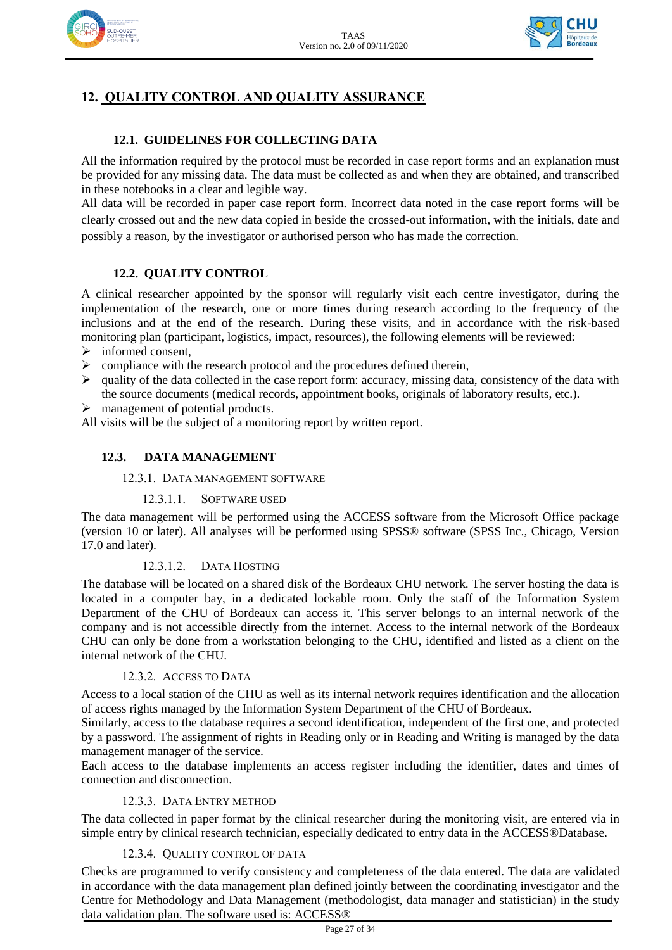



## **12. QUALITY CONTROL AND QUALITY ASSURANCE**

### **12.1. GUIDELINES FOR COLLECTING DATA**

All the information required by the protocol must be recorded in case report forms and an explanation must be provided for any missing data. The data must be collected as and when they are obtained, and transcribed in these notebooks in a clear and legible way.

All data will be recorded in paper case report form. Incorrect data noted in the case report forms will be clearly crossed out and the new data copied in beside the crossed-out information, with the initials, date and possibly a reason, by the investigator or authorised person who has made the correction.

#### **12.2. QUALITY CONTROL**

A clinical researcher appointed by the sponsor will regularly visit each centre investigator, during the implementation of the research, one or more times during research according to the frequency of the inclusions and at the end of the research. During these visits, and in accordance with the risk-based monitoring plan (participant, logistics, impact, resources), the following elements will be reviewed:

- $\triangleright$  informed consent,
- $\triangleright$  compliance with the research protocol and the procedures defined therein,
- $\triangleright$  quality of the data collected in the case report form: accuracy, missing data, consistency of the data with the source documents (medical records, appointment books, originals of laboratory results, etc.).
- > management of potential products.

All visits will be the subject of a monitoring report by written report.

#### **12.3. DATA MANAGEMENT**

#### 12.3.1. DATA MANAGEMENT SOFTWARE

#### 12.3.1.1. SOFTWARE USED

The data management will be performed using the ACCESS software from the Microsoft Office package (version 10 or later). All analyses will be performed using SPSS® software (SPSS Inc., Chicago, Version 17.0 and later).

#### 12.3.1.2. DATA HOSTING

The database will be located on a shared disk of the Bordeaux CHU network. The server hosting the data is located in a computer bay, in a dedicated lockable room. Only the staff of the Information System Department of the CHU of Bordeaux can access it. This server belongs to an internal network of the company and is not accessible directly from the internet. Access to the internal network of the Bordeaux CHU can only be done from a workstation belonging to the CHU, identified and listed as a client on the internal network of the CHU.

#### 12.3.2. ACCESS TO DATA

Access to a local station of the CHU as well as its internal network requires identification and the allocation of access rights managed by the Information System Department of the CHU of Bordeaux.

Similarly, access to the database requires a second identification, independent of the first one, and protected by a password. The assignment of rights in Reading only or in Reading and Writing is managed by the data management manager of the service.

Each access to the database implements an access register including the identifier, dates and times of connection and disconnection.

#### 12.3.3. DATA ENTRY METHOD

The data collected in paper format by the clinical researcher during the monitoring visit, are entered via in simple entry by clinical research technician, especially dedicated to entry data in the ACCESS®Database.

#### 12.3.4. QUALITY CONTROL OF DATA

Checks are programmed to verify consistency and completeness of the data entered. The data are validated in accordance with the data management plan defined jointly between the coordinating investigator and the Centre for Methodology and Data Management (methodologist, data manager and statistician) in the study data validation plan. The software used is: ACCESS®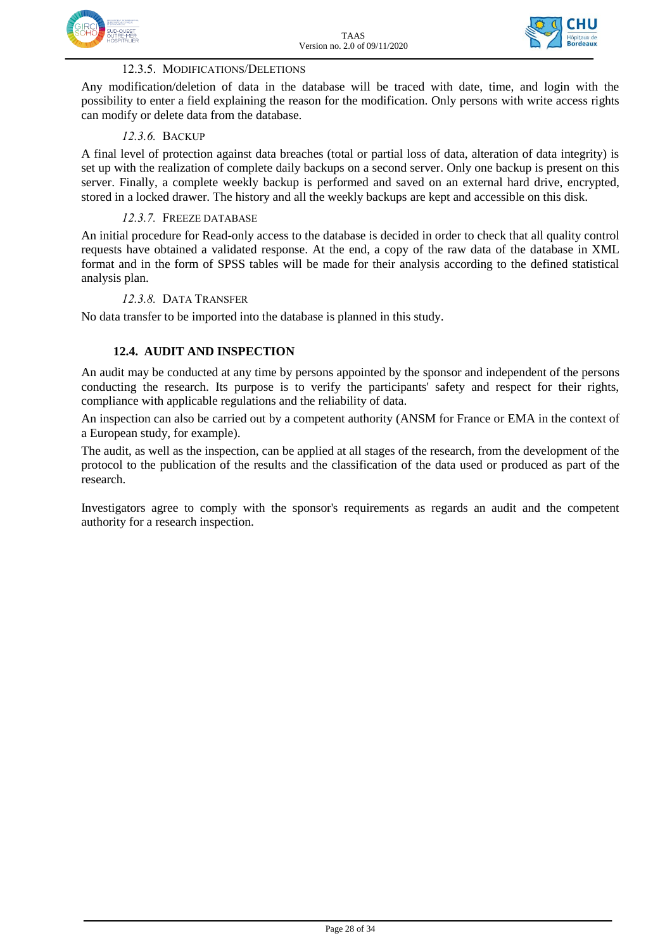



#### 12.3.5. MODIFICATIONS/DELETIONS

Any modification/deletion of data in the database will be traced with date, time, and login with the possibility to enter a field explaining the reason for the modification. Only persons with write access rights can modify or delete data from the database.

#### *12.3.6.* BACKUP

A final level of protection against data breaches (total or partial loss of data, alteration of data integrity) is set up with the realization of complete daily backups on a second server. Only one backup is present on this server. Finally, a complete weekly backup is performed and saved on an external hard drive, encrypted, stored in a locked drawer. The history and all the weekly backups are kept and accessible on this disk.

#### *12.3.7.* FREEZE DATABASE

An initial procedure for Read-only access to the database is decided in order to check that all quality control requests have obtained a validated response. At the end, a copy of the raw data of the database in XML format and in the form of SPSS tables will be made for their analysis according to the defined statistical analysis plan.

#### *12.3.8.* DATA TRANSFER

No data transfer to be imported into the database is planned in this study.

#### **12.4. AUDIT AND INSPECTION**

An audit may be conducted at any time by persons appointed by the [sponsor and i](http://www.chusa.jussieu.fr/urcest/sous_cadre.php?fich=Lexique/new_index.php?isphp=0&fich=EC/legislation/DispositionslegislativesPromoteur.htm)ndependent of the persons conducting the research. Its purpose is to verify the participants' safety and respect for their rights, compliance with applicable regulations and the reliability of data.

An inspection can also be carried out by a competent authority (ANSM for France or EMA in the context of a European study, for example).

The audit, as well as the inspection, can be applied at all stages of the research, from the development of the protocol to the publication of the results and the classification of the data used or produced as part of the research.

Investigators agree to comply with the sponsor's requirements as regards an audit and the competent authority for a research inspection.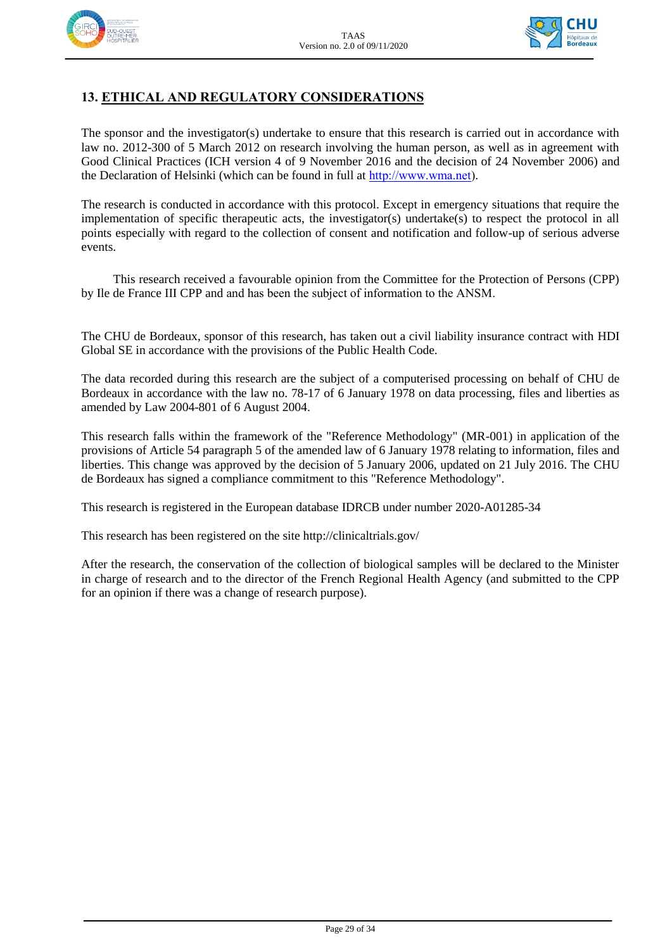



## **13. ETHICAL AND REGULATORY CONSIDERATIONS**

The sponsor and the investigator(s) undertake to ensure that this research is carried out in accordance with law no. 2012-300 of 5 March 2012 on research involving the human person, as well as in agreement with Good Clinical Practices (ICH version 4 of 9 November 2016 and the decision of 24 November 2006) and the Declaration of Helsinki (which can be found in full at [http://www.wma.net\)](http://www.wma.net/).

The research is conducted in accordance with this protocol. Except in emergency situations that require the implementation of specific therapeutic acts, the investigator(s) undertake(s) to respect the protocol in all points especially with regard to the collection of consent and notification and follow-up of serious adverse events.

This research received a favourable opinion from the Committee for the Protection of Persons (CPP) by Ile de France III CPP and and has been the subject of information to the ANSM.

The CHU de Bordeaux, sponsor of this research, has taken out a civil liability insurance contract with HDI Global SE in accordance with the provisions of the Public Health Code.

The data recorded during this research are the subject of a computerised processing on behalf of CHU de Bordeaux in accordance with the law no. 78-17 of 6 January 1978 on data processing, files and liberties as amended by Law 2004-801 of 6 August 2004.

This research falls within the framework of the "Reference Methodology" (MR-001) in application of the provisions of Article 54 paragraph 5 of the amended law of 6 January 1978 relating to information, files and liberties. This change was approved by the decision of 5 January 2006, updated on 21 July 2016. The CHU de Bordeaux has signed a compliance commitment to this "Reference Methodology".

This research is registered in the European database IDRCB under number 2020-A01285-34

This research has been registered on the site http://clinicaltrials.gov/

After the research, the conservation of the collection of biological samples will be declared to the Minister in charge of research and to the director of the French Regional Health Agency (and submitted to the CPP for an opinion if there was a change of research purpose).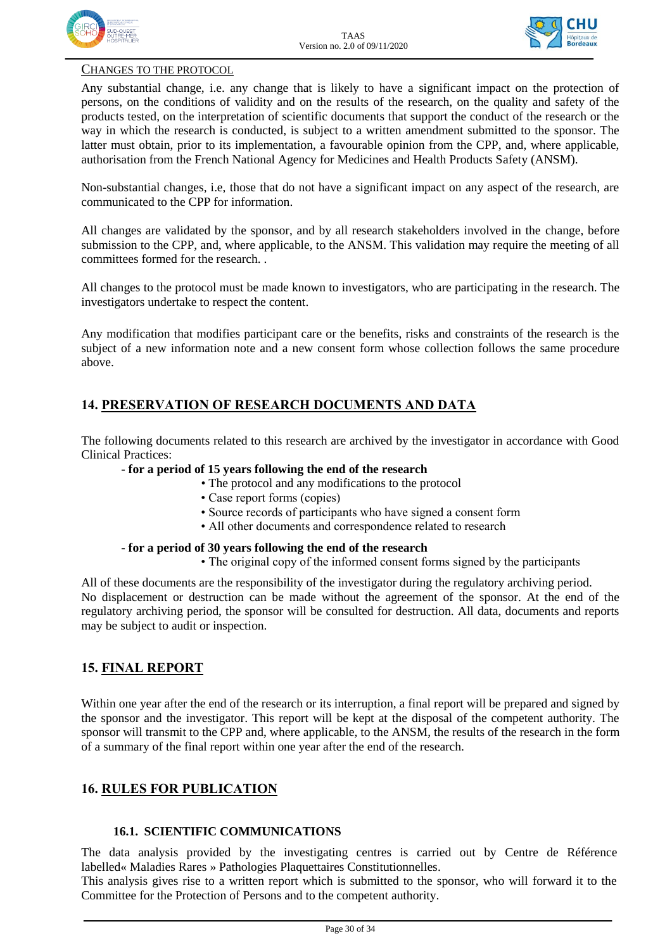



#### CHANGES TO THE PROTOCOL

Any substantial change, i.e. any change that is likely to have a significant impact on the protection of persons, on the conditions of validity and on the results of the research, on the quality and safety of the products tested, on the interpretation of scientific documents that support the conduct of the research or the way in which the research is conducted, is subject to a written amendment submitted to the sponsor. The latter must obtain, prior to its implementation, a favourable opinion from the CPP, and, where applicable, authorisation from the French National Agency for Medicines and Health Products Safety (ANSM).

Non-substantial changes, i.e, those that do not have a significant impact on any aspect of the research, are communicated to the CPP for information.

All changes are validated by the sponsor, and by all research stakeholders involved in the change, before submission to the CPP, and, where applicable, to the ANSM. This validation may require the meeting of all committees formed for the research. .

All changes to the protocol must be made known to investigators, who are participating in the research. The investigators undertake to respect the content.

Any modification that modifies participant care or the benefits, risks and constraints of the research is the subject of a new information note and a new consent form whose collection follows the same procedure above.

### **14. PRESERVATION OF RESEARCH DOCUMENTS AND DATA**

The following documents related to this research are archived by the investigator in accordance with Good Clinical Practices:

#### *-* **for a period of 15 years following the end of the research**

- The protocol and any modifications to the protocol
- Case report forms (copies)
- Source records of participants who have signed a consent form
- All other documents and correspondence related to research

#### **- for a period of 30 years following the end of the research**

• The original copy of the informed consent forms signed by the participants

All of these documents are the responsibility of the investigator during the regulatory archiving period. No displacement or destruction can be made without the agreement of the sponsor. At the end of the regulatory archiving period, the sponsor will be consulted for destruction. All data, documents and reports may be subject to audit or inspection.

#### **15. FINAL REPORT**

Within one year after the end of the research or its interruption, a final report will be prepared and signed by the sponsor and the investigator. This report will be kept at the disposal of the competent authority. The sponsor will transmit to the CPP and, where applicable, to the ANSM, the results of the research in the form of a summary of the final report within one year after the end of the research.

#### **16. RULES FOR PUBLICATION**

#### **16.1. SCIENTIFIC COMMUNICATIONS**

The data analysis provided by the investigating centres is carried out by Centre de Référence labelled« Maladies Rares » Pathologies Plaquettaires Constitutionnelles.

This analysis gives rise to a written report which is submitted to the sponsor, who will forward it to the Committee for the Protection of Persons and to the competent authority.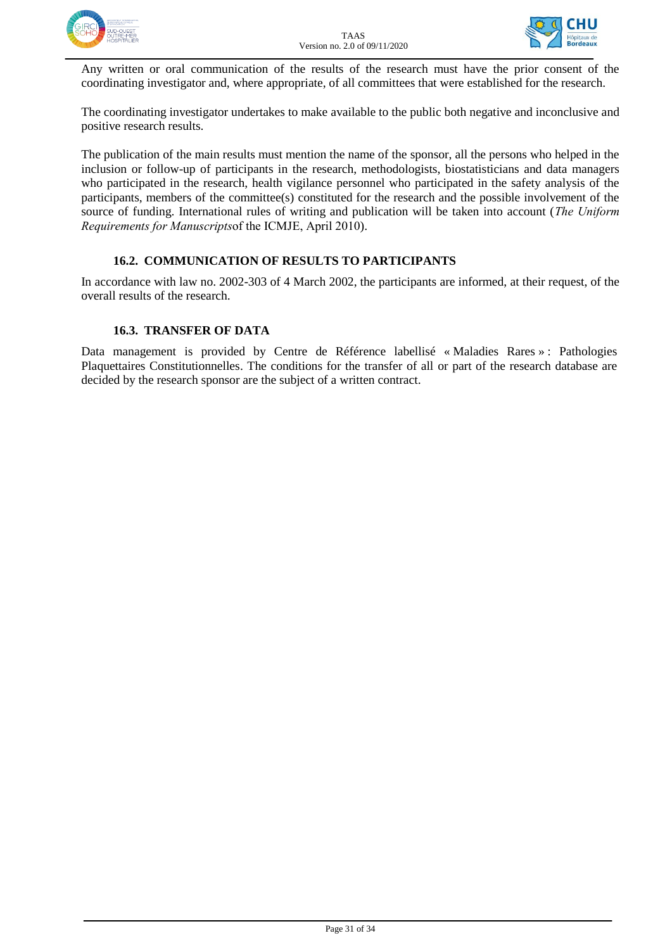



Any written or oral communication of the results of the research must have the prior consent of the coordinating investigator and, where appropriate, of all committees that were established for the research.

The coordinating investigator undertakes to make available to the public both negative and inconclusive and positive research results.

The publication of the main results must mention the name of the sponsor, all the persons who helped in the inclusion or follow-up of participants in the research, methodologists, biostatisticians and data managers who participated in the research, health vigilance personnel who participated in the safety analysis of the participants, members of the committee(s) constituted for the research and the possible involvement of the source of funding. International rules of writing and publication will be taken into account (*The Uniform Requirements for Manuscripts*of the ICMJE, April 2010).

#### **16.2. COMMUNICATION OF RESULTS TO PARTICIPANTS**

In accordance with law no. 2002-303 of 4 March 2002, the participants are informed, at their request, of the overall results of the research.

#### **16.3. TRANSFER OF DATA**

Data management is provided by Centre de Référence labellisé « Maladies Rares » : Pathologies Plaquettaires Constitutionnelles. The conditions for the transfer of all or part of the research database are decided by the research sponsor are the subject of a written contract.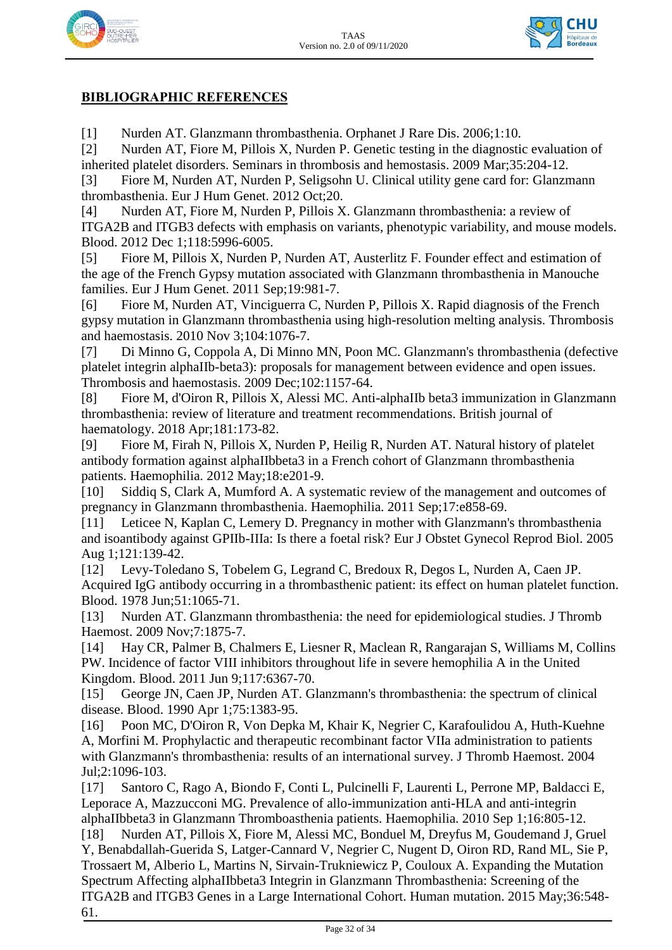



## **BIBLIOGRAPHIC REFERENCES**

[1] Nurden AT. Glanzmann thrombasthenia. Orphanet J Rare Dis. 2006;1:10.

[2] Nurden AT, Fiore M, Pillois X, Nurden P. Genetic testing in the diagnostic evaluation of inherited platelet disorders. Seminars in thrombosis and hemostasis. 2009 Mar;35:204-12.

[3] Fiore M, Nurden AT, Nurden P, Seligsohn U. Clinical utility gene card for: Glanzmann thrombasthenia. Eur J Hum Genet. 2012 Oct;20.

[4] Nurden AT, Fiore M, Nurden P, Pillois X. Glanzmann thrombasthenia: a review of ITGA2B and ITGB3 defects with emphasis on variants, phenotypic variability, and mouse models. Blood. 2012 Dec 1;118:5996-6005.

[5] Fiore M, Pillois X, Nurden P, Nurden AT, Austerlitz F. Founder effect and estimation of the age of the French Gypsy mutation associated with Glanzmann thrombasthenia in Manouche families. Eur J Hum Genet. 2011 Sep;19:981-7.

[6] Fiore M, Nurden AT, Vinciguerra C, Nurden P, Pillois X. Rapid diagnosis of the French gypsy mutation in Glanzmann thrombasthenia using high-resolution melting analysis. Thrombosis and haemostasis. 2010 Nov 3;104:1076-7.

[7] Di Minno G, Coppola A, Di Minno MN, Poon MC. Glanzmann's thrombasthenia (defective platelet integrin alphaIIb-beta3): proposals for management between evidence and open issues. Thrombosis and haemostasis. 2009 Dec;102:1157-64.

[8] Fiore M, d'Oiron R, Pillois X, Alessi MC. Anti-alphaIIb beta3 immunization in Glanzmann thrombasthenia: review of literature and treatment recommendations. British journal of haematology. 2018 Apr;181:173-82.

[9] Fiore M, Firah N, Pillois X, Nurden P, Heilig R, Nurden AT. Natural history of platelet antibody formation against alphaIIbbeta3 in a French cohort of Glanzmann thrombasthenia patients. Haemophilia. 2012 May;18:e201-9.

[10] Siddiq S, Clark A, Mumford A. A systematic review of the management and outcomes of pregnancy in Glanzmann thrombasthenia. Haemophilia. 2011 Sep;17:e858-69.

[11] Leticee N, Kaplan C, Lemery D. Pregnancy in mother with Glanzmann's thrombasthenia and isoantibody against GPIIb-IIIa: Is there a foetal risk? Eur J Obstet Gynecol Reprod Biol. 2005 Aug 1;121:139-42.

[12] Levy-Toledano S, Tobelem G, Legrand C, Bredoux R, Degos L, Nurden A, Caen JP. Acquired IgG antibody occurring in a thrombasthenic patient: its effect on human platelet function. Blood. 1978 Jun;51:1065-71.

[13] Nurden AT. Glanzmann thrombasthenia: the need for epidemiological studies. J Thromb Haemost. 2009 Nov;7:1875-7.

[14] Hay CR, Palmer B, Chalmers E, Liesner R, Maclean R, Rangarajan S, Williams M, Collins PW. Incidence of factor VIII inhibitors throughout life in severe hemophilia A in the United Kingdom. Blood. 2011 Jun 9;117:6367-70.

[15] George JN, Caen JP, Nurden AT. Glanzmann's thrombasthenia: the spectrum of clinical disease. Blood. 1990 Apr 1;75:1383-95.

[16] Poon MC, D'Oiron R, Von Depka M, Khair K, Negrier C, Karafoulidou A, Huth-Kuehne A, Morfini M. Prophylactic and therapeutic recombinant factor VIIa administration to patients with Glanzmann's thrombasthenia: results of an international survey. J Thromb Haemost. 2004 Jul;2:1096-103.

[17] Santoro C, Rago A, Biondo F, Conti L, Pulcinelli F, Laurenti L, Perrone MP, Baldacci E, Leporace A, Mazzucconi MG. Prevalence of allo-immunization anti-HLA and anti-integrin alphaIIbbeta3 in Glanzmann Thromboasthenia patients. Haemophilia. 2010 Sep 1;16:805-12.

[18] Nurden AT, Pillois X, Fiore M, Alessi MC, Bonduel M, Dreyfus M, Goudemand J, Gruel Y, Benabdallah-Guerida S, Latger-Cannard V, Negrier C, Nugent D, Oiron RD, Rand ML, Sie P, Trossaert M, Alberio L, Martins N, Sirvain-Trukniewicz P, Couloux A. Expanding the Mutation Spectrum Affecting alphaIIbbeta3 Integrin in Glanzmann Thrombasthenia: Screening of the ITGA2B and ITGB3 Genes in a Large International Cohort. Human mutation. 2015 May;36:548- 61.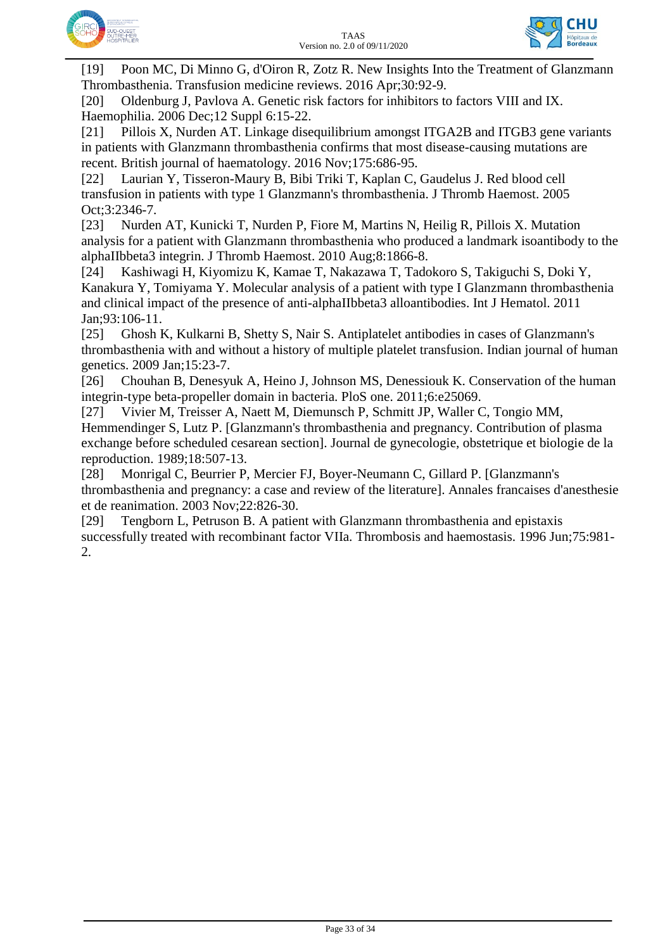



[19] Poon MC, Di Minno G, d'Oiron R, Zotz R. New Insights Into the Treatment of Glanzmann Thrombasthenia. Transfusion medicine reviews. 2016 Apr;30:92-9.

[20] Oldenburg J, Pavlova A. Genetic risk factors for inhibitors to factors VIII and IX. Haemophilia. 2006 Dec;12 Suppl 6:15-22.

[21] Pillois X, Nurden AT. Linkage disequilibrium amongst ITGA2B and ITGB3 gene variants in patients with Glanzmann thrombasthenia confirms that most disease-causing mutations are recent. British journal of haematology. 2016 Nov;175:686-95.

[22] Laurian Y, Tisseron-Maury B, Bibi Triki T, Kaplan C, Gaudelus J. Red blood cell transfusion in patients with type 1 Glanzmann's thrombasthenia. J Thromb Haemost. 2005 Oct;3:2346-7.

[23] Nurden AT, Kunicki T, Nurden P, Fiore M, Martins N, Heilig R, Pillois X. Mutation analysis for a patient with Glanzmann thrombasthenia who produced a landmark isoantibody to the alphaIIbbeta3 integrin. J Thromb Haemost. 2010 Aug;8:1866-8.

[24] Kashiwagi H, Kiyomizu K, Kamae T, Nakazawa T, Tadokoro S, Takiguchi S, Doki Y, Kanakura Y, Tomiyama Y. Molecular analysis of a patient with type I Glanzmann thrombasthenia and clinical impact of the presence of anti-alphaIIbbeta3 alloantibodies. Int J Hematol. 2011 Jan;93:106-11.

[25] Ghosh K, Kulkarni B, Shetty S, Nair S. Antiplatelet antibodies in cases of Glanzmann's thrombasthenia with and without a history of multiple platelet transfusion. Indian journal of human genetics. 2009 Jan;15:23-7.

[26] Chouhan B, Denesyuk A, Heino J, Johnson MS, Denessiouk K. Conservation of the human integrin-type beta-propeller domain in bacteria. PloS one. 2011;6:e25069.

[27] Vivier M, Treisser A, Naett M, Diemunsch P, Schmitt JP, Waller C, Tongio MM, Hemmendinger S, Lutz P. [Glanzmann's thrombasthenia and pregnancy. Contribution of plasma exchange before scheduled cesarean section]. Journal de gynecologie, obstetrique et biologie de la reproduction. 1989;18:507-13.

[28] Monrigal C, Beurrier P, Mercier FJ, Boyer-Neumann C, Gillard P. [Glanzmann's thrombasthenia and pregnancy: a case and review of the literature]. Annales francaises d'anesthesie et de reanimation. 2003 Nov;22:826-30.

[29] Tengborn L, Petruson B. A patient with Glanzmann thrombasthenia and epistaxis successfully treated with recombinant factor VIIa. Thrombosis and haemostasis. 1996 Jun;75:981- 2.